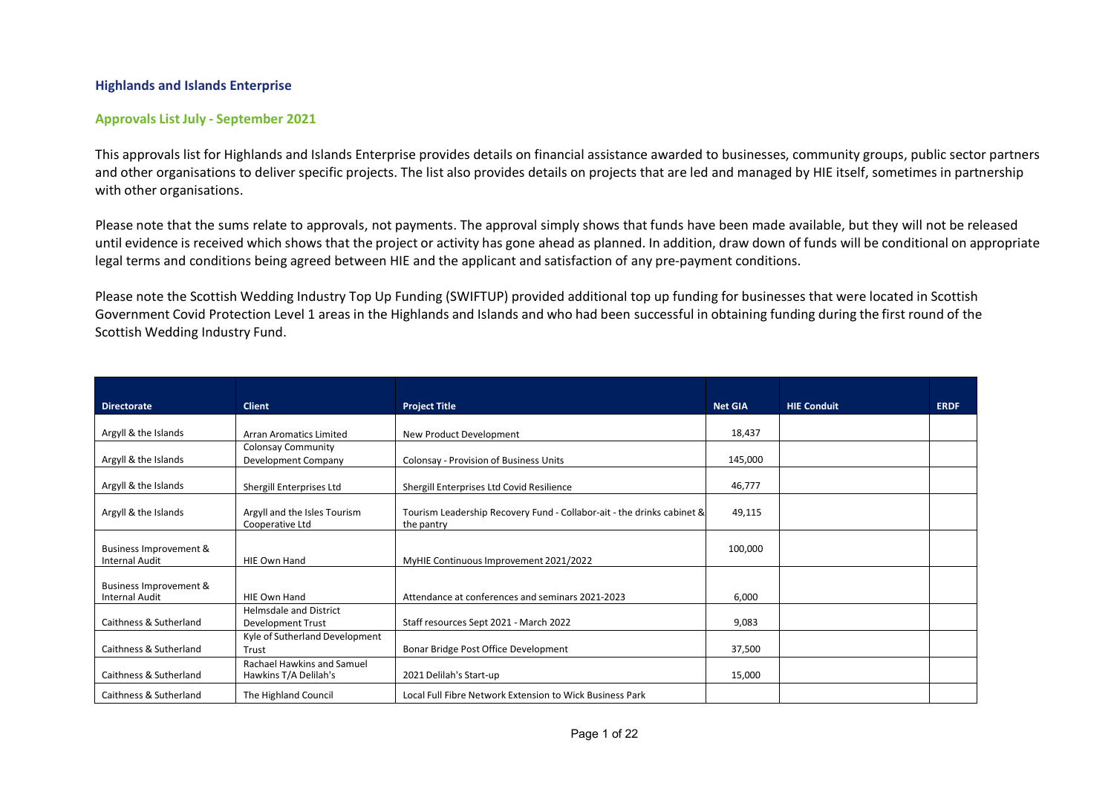## **Highlands and Islands Enterprise**

## **Approvals List July - September 2021**

This approvals list for Highlands and Islands Enterprise provides details on financial assistance awarded to businesses, community groups, public sector partners and other organisations to deliver specific projects. The list also provides details on projects that are led and managed by HIE itself, sometimes in partnership with other organisations.

Please note that the sums relate to approvals, not payments. The approval simply shows that funds have been made available, but they will not be released until evidence is received which shows that the project or activity has gone ahead as planned. In addition, draw down of funds will be conditional on appropriate legal terms and conditions being agreed between HIE and the applicant and satisfaction of any pre-payment conditions.

Please note the Scottish Wedding Industry Top Up Funding (SWIFTUP) provided additional top up funding for businesses that were located in Scottish Government Covid Protection Level 1 areas in the Highlands and Islands and who had been successful in obtaining funding during the first round of the Scottish Wedding Industry Fund.

| <b>Directorate</b>                              | <b>Client</b>                                             | <b>Project Title</b>                                                                 | <b>Net GIA</b> | <b>HIE Conduit</b> | <b>ERDF</b> |
|-------------------------------------------------|-----------------------------------------------------------|--------------------------------------------------------------------------------------|----------------|--------------------|-------------|
| Argyll & the Islands                            | <b>Arran Aromatics Limited</b>                            | New Product Development                                                              | 18,437         |                    |             |
| Argyll & the Islands                            | <b>Colonsay Community</b><br>Development Company          | Colonsay - Provision of Business Units                                               | 145,000        |                    |             |
| Argyll & the Islands                            | Shergill Enterprises Ltd                                  | Shergill Enterprises Ltd Covid Resilience                                            | 46,777         |                    |             |
| Argyll & the Islands                            | Argyll and the Isles Tourism<br>Cooperative Ltd           | Tourism Leadership Recovery Fund - Collabor-ait - the drinks cabinet &<br>the pantry | 49,115         |                    |             |
| Business Improvement &<br><b>Internal Audit</b> | <b>HIE Own Hand</b>                                       | MyHIE Continuous Improvement 2021/2022                                               | 100,000        |                    |             |
| Business Improvement &<br><b>Internal Audit</b> | HIE Own Hand                                              | Attendance at conferences and seminars 2021-2023                                     | 6,000          |                    |             |
| Caithness & Sutherland                          | <b>Helmsdale and District</b><br><b>Development Trust</b> | Staff resources Sept 2021 - March 2022                                               | 9,083          |                    |             |
| Caithness & Sutherland                          | Kyle of Sutherland Development<br>Trust                   | Bonar Bridge Post Office Development                                                 | 37,500         |                    |             |
| Caithness & Sutherland                          | Rachael Hawkins and Samuel<br>Hawkins T/A Delilah's       | 2021 Delilah's Start-up                                                              | 15,000         |                    |             |
| Caithness & Sutherland                          | The Highland Council                                      | Local Full Fibre Network Extension to Wick Business Park                             |                |                    |             |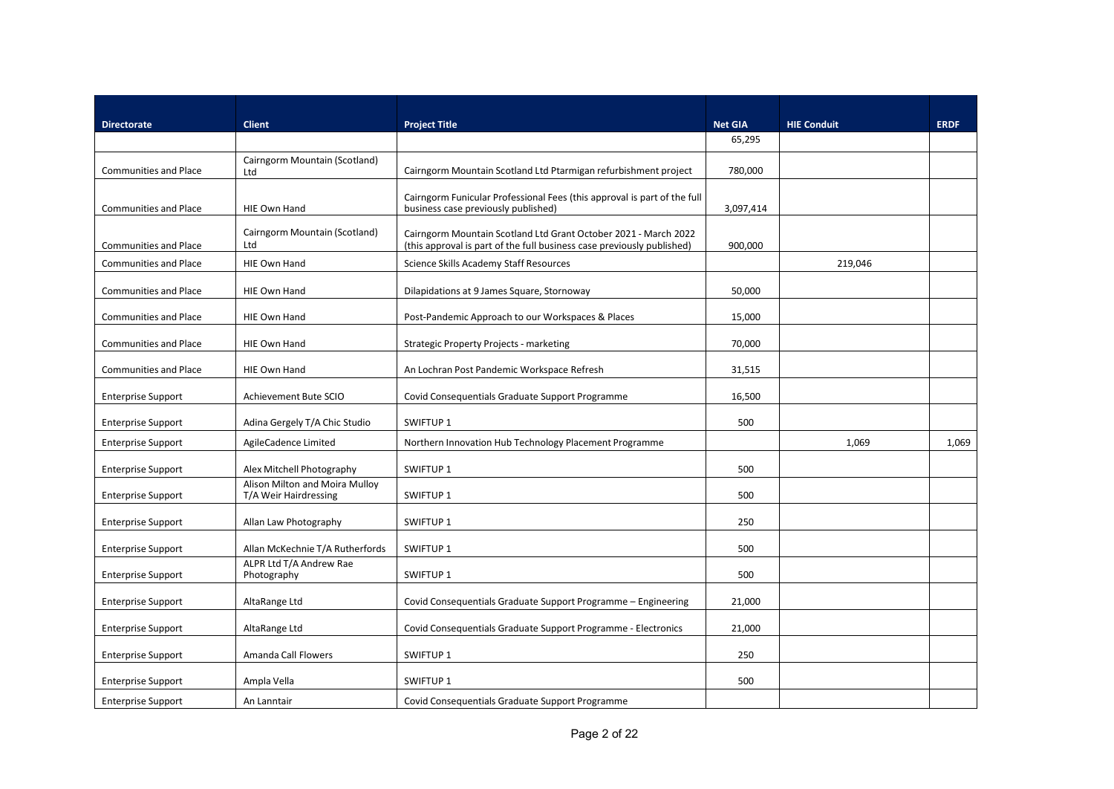| <b>Directorate</b>           | <b>Client</b>                                           | <b>Project Title</b>                                                                                                                      | <b>Net GIA</b> | <b>HIE Conduit</b> | <b>ERDF</b> |
|------------------------------|---------------------------------------------------------|-------------------------------------------------------------------------------------------------------------------------------------------|----------------|--------------------|-------------|
|                              |                                                         |                                                                                                                                           | 65,295         |                    |             |
| <b>Communities and Place</b> | Cairngorm Mountain (Scotland)<br>Ltd                    | Cairngorm Mountain Scotland Ltd Ptarmigan refurbishment project                                                                           | 780,000        |                    |             |
| Communities and Place        | HIE Own Hand                                            | Cairngorm Funicular Professional Fees (this approval is part of the full<br>business case previously published)                           | 3,097,414      |                    |             |
| <b>Communities and Place</b> | Cairngorm Mountain (Scotland)<br>Ltd                    | Cairngorm Mountain Scotland Ltd Grant October 2021 - March 2022<br>(this approval is part of the full business case previously published) | 900,000        |                    |             |
| <b>Communities and Place</b> | HIE Own Hand                                            | Science Skills Academy Staff Resources                                                                                                    |                | 219,046            |             |
| Communities and Place        | HIE Own Hand                                            | Dilapidations at 9 James Square, Stornoway                                                                                                | 50,000         |                    |             |
| <b>Communities and Place</b> | HIE Own Hand                                            | Post-Pandemic Approach to our Workspaces & Places                                                                                         | 15,000         |                    |             |
| Communities and Place        | HIE Own Hand                                            | Strategic Property Projects - marketing                                                                                                   | 70,000         |                    |             |
| <b>Communities and Place</b> | HIE Own Hand                                            | An Lochran Post Pandemic Workspace Refresh                                                                                                | 31,515         |                    |             |
| <b>Enterprise Support</b>    | Achievement Bute SCIO                                   | Covid Consequentials Graduate Support Programme                                                                                           | 16,500         |                    |             |
| <b>Enterprise Support</b>    | Adina Gergely T/A Chic Studio                           | SWIFTUP 1                                                                                                                                 | 500            |                    |             |
| <b>Enterprise Support</b>    | AgileCadence Limited                                    | Northern Innovation Hub Technology Placement Programme                                                                                    |                | 1,069              | 1,069       |
| <b>Enterprise Support</b>    | Alex Mitchell Photography                               | SWIFTUP 1                                                                                                                                 | 500            |                    |             |
| <b>Enterprise Support</b>    | Alison Milton and Moira Mulloy<br>T/A Weir Hairdressing | SWIFTUP 1                                                                                                                                 | 500            |                    |             |
| <b>Enterprise Support</b>    | Allan Law Photography                                   | SWIFTUP 1                                                                                                                                 | 250            |                    |             |
| <b>Enterprise Support</b>    | Allan McKechnie T/A Rutherfords                         | SWIFTUP 1                                                                                                                                 | 500            |                    |             |
| <b>Enterprise Support</b>    | ALPR Ltd T/A Andrew Rae<br>Photography                  | SWIFTUP 1                                                                                                                                 | 500            |                    |             |
| <b>Enterprise Support</b>    | AltaRange Ltd                                           | Covid Consequentials Graduate Support Programme - Engineering                                                                             | 21,000         |                    |             |
| <b>Enterprise Support</b>    | AltaRange Ltd                                           | Covid Consequentials Graduate Support Programme - Electronics                                                                             | 21,000         |                    |             |
| <b>Enterprise Support</b>    | Amanda Call Flowers                                     | SWIFTUP 1                                                                                                                                 | 250            |                    |             |
| <b>Enterprise Support</b>    | Ampla Vella                                             | SWIFTUP 1                                                                                                                                 | 500            |                    |             |
| <b>Enterprise Support</b>    | An Lanntair                                             | Covid Consequentials Graduate Support Programme                                                                                           |                |                    |             |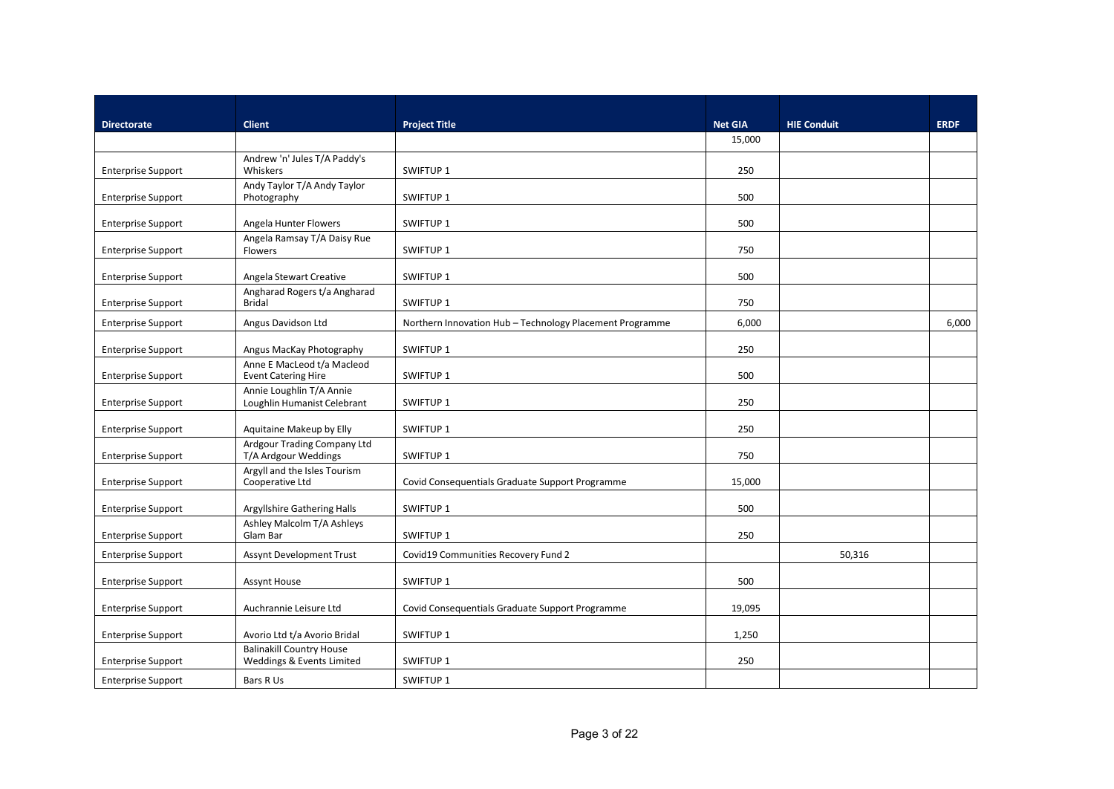| <b>Directorate</b>        | <b>Client</b>                                                | <b>Project Title</b>                                     | <b>Net GIA</b> | <b>HIE Conduit</b> | <b>ERDF</b> |
|---------------------------|--------------------------------------------------------------|----------------------------------------------------------|----------------|--------------------|-------------|
|                           |                                                              |                                                          | 15,000         |                    |             |
| <b>Enterprise Support</b> | Andrew 'n' Jules T/A Paddy's<br>Whiskers                     | <b>SWIFTUP 1</b>                                         | 250            |                    |             |
| <b>Enterprise Support</b> | Andy Taylor T/A Andy Taylor<br>Photography                   | SWIFTUP 1                                                | 500            |                    |             |
| <b>Enterprise Support</b> | Angela Hunter Flowers                                        | SWIFTUP 1                                                | 500            |                    |             |
| <b>Enterprise Support</b> | Angela Ramsay T/A Daisy Rue<br>Flowers                       | SWIFTUP 1                                                | 750            |                    |             |
| <b>Enterprise Support</b> | Angela Stewart Creative                                      | SWIFTUP 1                                                | 500            |                    |             |
| <b>Enterprise Support</b> | Angharad Rogers t/a Angharad<br><b>Bridal</b>                | SWIFTUP 1                                                | 750            |                    |             |
| <b>Enterprise Support</b> | Angus Davidson Ltd                                           | Northern Innovation Hub - Technology Placement Programme | 6,000          |                    | 6,000       |
| <b>Enterprise Support</b> | Angus MacKay Photography                                     | SWIFTUP 1                                                | 250            |                    |             |
| <b>Enterprise Support</b> | Anne E MacLeod t/a Macleod<br><b>Event Catering Hire</b>     | SWIFTUP 1                                                | 500            |                    |             |
| <b>Enterprise Support</b> | Annie Loughlin T/A Annie<br>Loughlin Humanist Celebrant      | SWIFTUP 1                                                | 250            |                    |             |
| <b>Enterprise Support</b> | Aquitaine Makeup by Elly                                     | SWIFTUP 1                                                | 250            |                    |             |
| <b>Enterprise Support</b> | Ardgour Trading Company Ltd<br>T/A Ardgour Weddings          | SWIFTUP <sub>1</sub>                                     | 750            |                    |             |
| <b>Enterprise Support</b> | Argyll and the Isles Tourism<br>Cooperative Ltd              | Covid Consequentials Graduate Support Programme          | 15,000         |                    |             |
| <b>Enterprise Support</b> | <b>Argyllshire Gathering Halls</b>                           | SWIFTUP <sub>1</sub>                                     | 500            |                    |             |
| <b>Enterprise Support</b> | Ashley Malcolm T/A Ashleys<br>Glam Bar                       | SWIFTUP 1                                                | 250            |                    |             |
| <b>Enterprise Support</b> | <b>Assynt Development Trust</b>                              | Covid19 Communities Recovery Fund 2                      |                | 50,316             |             |
| <b>Enterprise Support</b> | Assynt House                                                 | SWIFTUP 1                                                | 500            |                    |             |
| <b>Enterprise Support</b> | Auchrannie Leisure Ltd                                       | Covid Consequentials Graduate Support Programme          | 19,095         |                    |             |
| <b>Enterprise Support</b> | Avorio Ltd t/a Avorio Bridal                                 | SWIFTUP 1                                                | 1,250          |                    |             |
| <b>Enterprise Support</b> | <b>Balinakill Country House</b><br>Weddings & Events Limited | <b>SWIFTUP 1</b>                                         | 250            |                    |             |
| <b>Enterprise Support</b> | Bars R Us                                                    | <b>SWIFTUP 1</b>                                         |                |                    |             |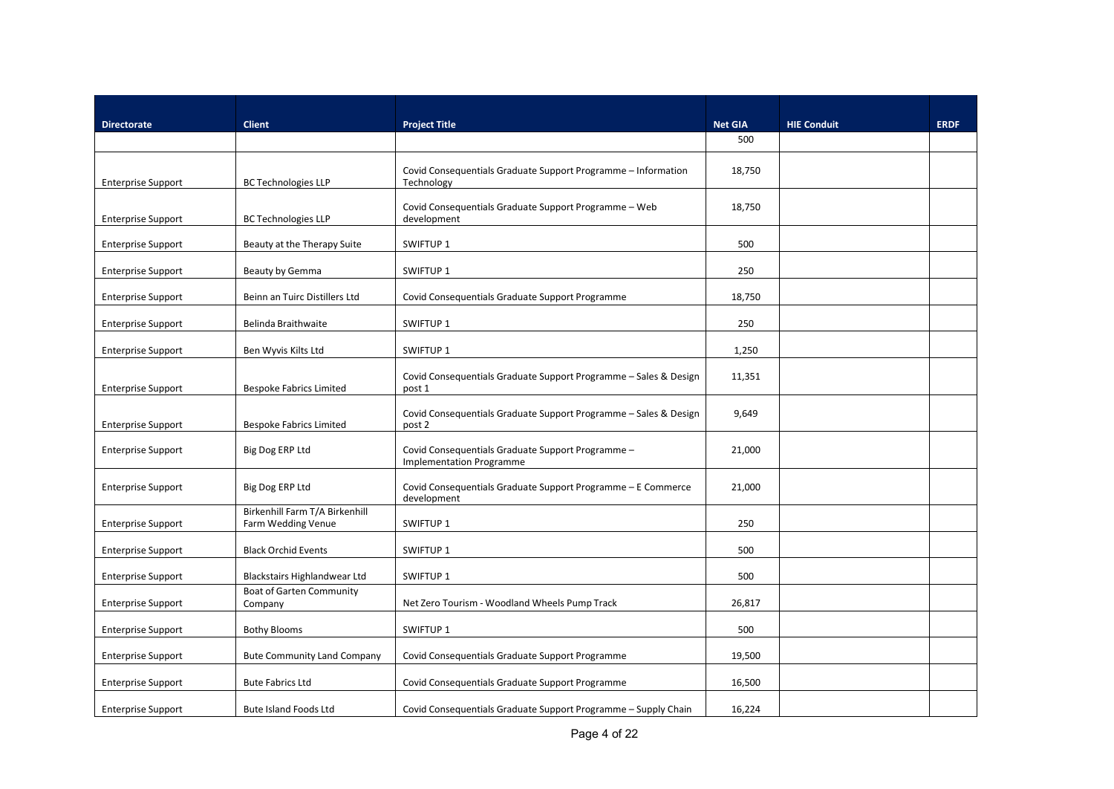| <b>Directorate</b>        | <b>Client</b>                                        | <b>Project Title</b>                                                                 | <b>Net GIA</b> | <b>HIE Conduit</b> | <b>ERDF</b> |
|---------------------------|------------------------------------------------------|--------------------------------------------------------------------------------------|----------------|--------------------|-------------|
|                           |                                                      |                                                                                      | 500            |                    |             |
| <b>Enterprise Support</b> | <b>BC Technologies LLP</b>                           | Covid Consequentials Graduate Support Programme - Information<br>Technology          | 18,750         |                    |             |
| <b>Enterprise Support</b> | <b>BC Technologies LLP</b>                           | Covid Consequentials Graduate Support Programme - Web<br>development                 | 18,750         |                    |             |
| <b>Enterprise Support</b> | Beauty at the Therapy Suite                          | SWIFTUP <sub>1</sub>                                                                 | 500            |                    |             |
| <b>Enterprise Support</b> | <b>Beauty by Gemma</b>                               | SWIFTUP 1                                                                            | 250            |                    |             |
| <b>Enterprise Support</b> | Beinn an Tuirc Distillers Ltd                        | Covid Consequentials Graduate Support Programme                                      | 18,750         |                    |             |
| <b>Enterprise Support</b> | Belinda Braithwaite                                  | SWIFTUP 1                                                                            | 250            |                    |             |
| <b>Enterprise Support</b> | Ben Wyvis Kilts Ltd                                  | SWIFTUP 1                                                                            | 1,250          |                    |             |
| <b>Enterprise Support</b> | <b>Bespoke Fabrics Limited</b>                       | Covid Consequentials Graduate Support Programme - Sales & Design<br>post 1           | 11,351         |                    |             |
| <b>Enterprise Support</b> | <b>Bespoke Fabrics Limited</b>                       | Covid Consequentials Graduate Support Programme - Sales & Design<br>post 2           | 9,649          |                    |             |
| <b>Enterprise Support</b> | Big Dog ERP Ltd                                      | Covid Consequentials Graduate Support Programme -<br><b>Implementation Programme</b> | 21,000         |                    |             |
| <b>Enterprise Support</b> | Big Dog ERP Ltd                                      | Covid Consequentials Graduate Support Programme - E Commerce<br>development          | 21,000         |                    |             |
| <b>Enterprise Support</b> | Birkenhill Farm T/A Birkenhill<br>Farm Wedding Venue | SWIFTUP 1                                                                            | 250            |                    |             |
| <b>Enterprise Support</b> | <b>Black Orchid Events</b>                           | SWIFTUP 1                                                                            | 500            |                    |             |
| <b>Enterprise Support</b> | Blackstairs Highlandwear Ltd                         | SWIFTUP 1                                                                            | 500            |                    |             |
| <b>Enterprise Support</b> | <b>Boat of Garten Community</b><br>Company           | Net Zero Tourism - Woodland Wheels Pump Track                                        | 26,817         |                    |             |
| <b>Enterprise Support</b> | <b>Bothy Blooms</b>                                  | <b>SWIFTUP 1</b>                                                                     | 500            |                    |             |
| <b>Enterprise Support</b> | <b>Bute Community Land Company</b>                   | Covid Consequentials Graduate Support Programme                                      | 19,500         |                    |             |
| <b>Enterprise Support</b> | <b>Bute Fabrics Ltd</b>                              | Covid Consequentials Graduate Support Programme                                      | 16,500         |                    |             |
| <b>Enterprise Support</b> | <b>Bute Island Foods Ltd</b>                         | Covid Consequentials Graduate Support Programme - Supply Chain                       | 16,224         |                    |             |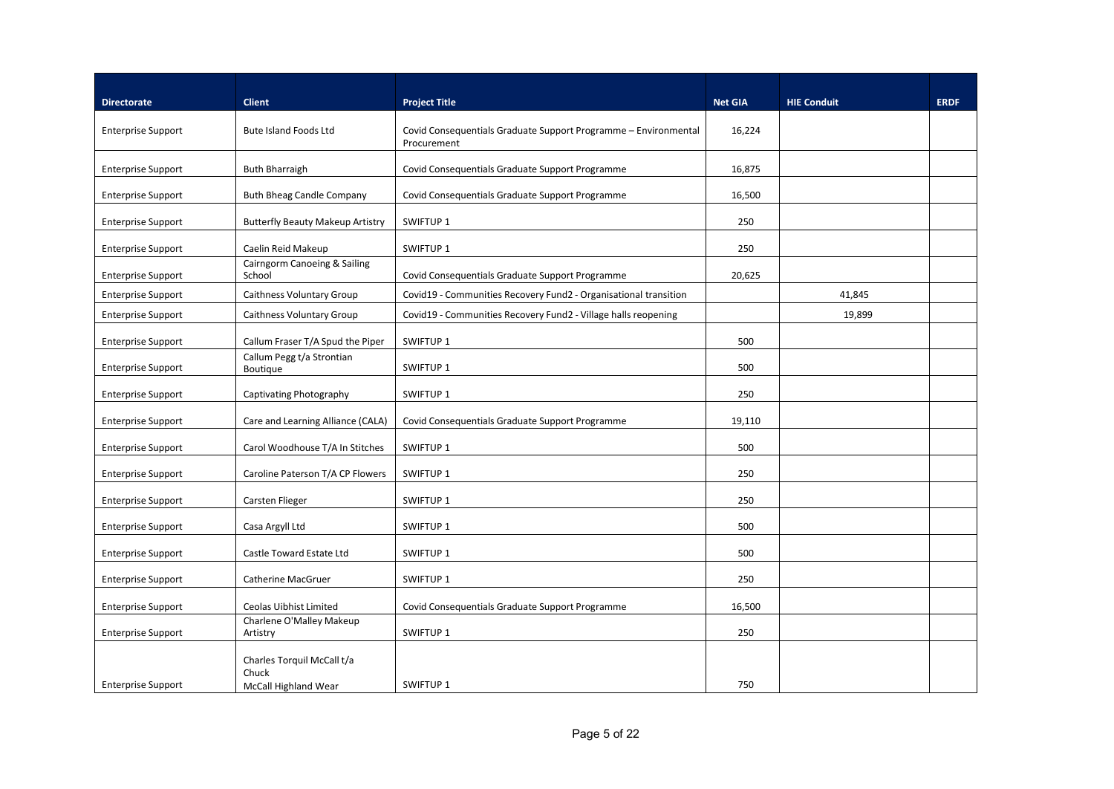| <b>Directorate</b>        | <b>Client</b>                                               | <b>Project Title</b>                                                           | <b>Net GIA</b> | <b>HIE Conduit</b> | <b>ERDF</b> |
|---------------------------|-------------------------------------------------------------|--------------------------------------------------------------------------------|----------------|--------------------|-------------|
| <b>Enterprise Support</b> | <b>Bute Island Foods Ltd</b>                                | Covid Consequentials Graduate Support Programme - Environmental<br>Procurement | 16,224         |                    |             |
| <b>Enterprise Support</b> | <b>Buth Bharraigh</b>                                       | Covid Consequentials Graduate Support Programme                                | 16,875         |                    |             |
| <b>Enterprise Support</b> | <b>Buth Bheag Candle Company</b>                            | Covid Consequentials Graduate Support Programme                                | 16,500         |                    |             |
| <b>Enterprise Support</b> | <b>Butterfly Beauty Makeup Artistry</b>                     | SWIFTUP 1                                                                      | 250            |                    |             |
| <b>Enterprise Support</b> | Caelin Reid Makeup                                          | SWIFTUP 1                                                                      | 250            |                    |             |
| <b>Enterprise Support</b> | Cairngorm Canoeing & Sailing<br>School                      | Covid Consequentials Graduate Support Programme                                | 20,625         |                    |             |
| <b>Enterprise Support</b> | Caithness Voluntary Group                                   | Covid19 - Communities Recovery Fund2 - Organisational transition               |                | 41,845             |             |
| <b>Enterprise Support</b> | Caithness Voluntary Group                                   | Covid19 - Communities Recovery Fund2 - Village halls reopening                 |                | 19,899             |             |
| <b>Enterprise Support</b> | Callum Fraser T/A Spud the Piper                            | SWIFTUP 1                                                                      | 500            |                    |             |
| <b>Enterprise Support</b> | Callum Pegg t/a Strontian<br>Boutique                       | SWIFTUP 1                                                                      | 500            |                    |             |
| <b>Enterprise Support</b> | Captivating Photography                                     | SWIFTUP 1                                                                      | 250            |                    |             |
| <b>Enterprise Support</b> | Care and Learning Alliance (CALA)                           | Covid Consequentials Graduate Support Programme                                | 19,110         |                    |             |
| <b>Enterprise Support</b> | Carol Woodhouse T/A In Stitches                             | SWIFTUP 1                                                                      | 500            |                    |             |
| <b>Enterprise Support</b> | Caroline Paterson T/A CP Flowers                            | SWIFTUP 1                                                                      | 250            |                    |             |
| <b>Enterprise Support</b> | Carsten Flieger                                             | SWIFTUP 1                                                                      | 250            |                    |             |
| <b>Enterprise Support</b> | Casa Argyll Ltd                                             | SWIFTUP 1                                                                      | 500            |                    |             |
| <b>Enterprise Support</b> | Castle Toward Estate Ltd                                    | SWIFTUP 1                                                                      | 500            |                    |             |
| <b>Enterprise Support</b> | <b>Catherine MacGruer</b>                                   | SWIFTUP 1                                                                      | 250            |                    |             |
| <b>Enterprise Support</b> | Ceolas Uibhist Limited                                      | Covid Consequentials Graduate Support Programme                                | 16,500         |                    |             |
| <b>Enterprise Support</b> | Charlene O'Malley Makeup<br>Artistry                        | SWIFTUP 1                                                                      | 250            |                    |             |
| <b>Enterprise Support</b> | Charles Torquil McCall t/a<br>Chuck<br>McCall Highland Wear | SWIFTUP 1                                                                      | 750            |                    |             |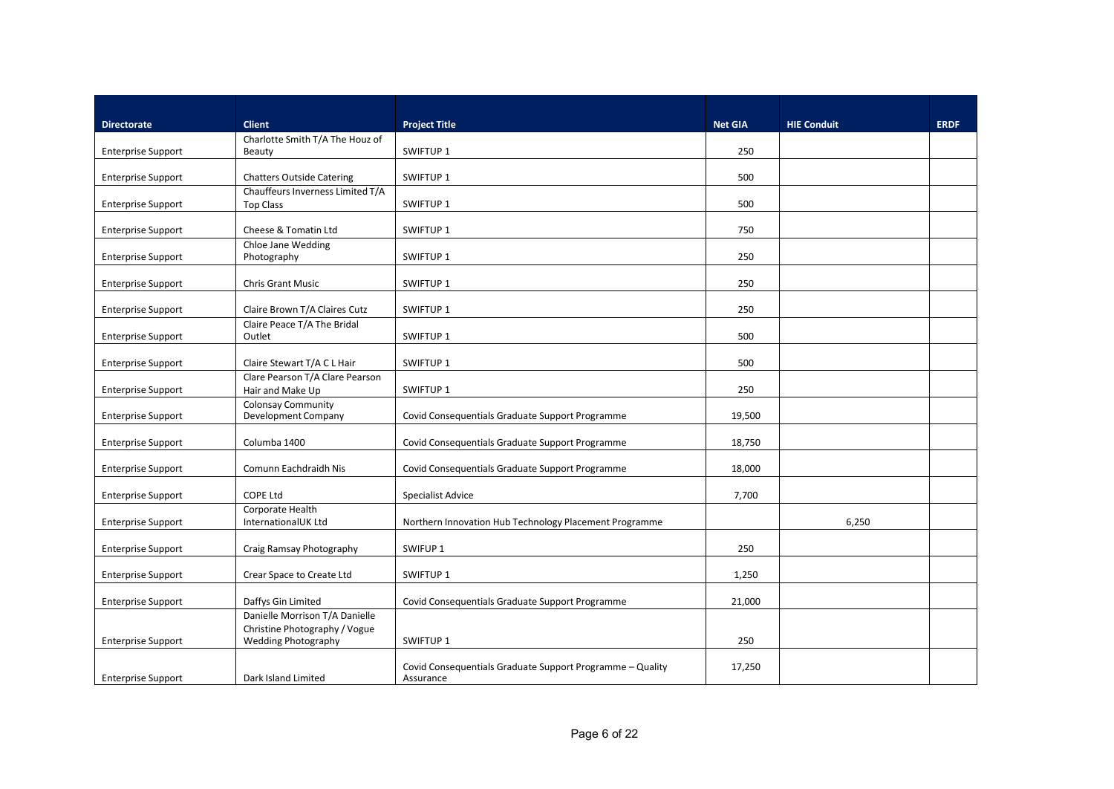| <b>Directorate</b>        | <b>Client</b>                                                                                 | <b>Project Title</b>                                                   | Net GIA | <b>HIE Conduit</b> | <b>ERDF</b> |
|---------------------------|-----------------------------------------------------------------------------------------------|------------------------------------------------------------------------|---------|--------------------|-------------|
|                           | Charlotte Smith T/A The Houz of                                                               |                                                                        |         |                    |             |
| <b>Enterprise Support</b> | Beauty                                                                                        | SWIFTUP 1                                                              | 250     |                    |             |
| <b>Enterprise Support</b> | <b>Chatters Outside Catering</b>                                                              | <b>SWIFTUP 1</b>                                                       | 500     |                    |             |
| <b>Enterprise Support</b> | Chauffeurs Inverness Limited T/A<br><b>Top Class</b>                                          | SWIFTUP 1                                                              | 500     |                    |             |
| <b>Enterprise Support</b> | Cheese & Tomatin Ltd                                                                          | SWIFTUP 1                                                              | 750     |                    |             |
| <b>Enterprise Support</b> | Chloe Jane Wedding<br>Photography                                                             | SWIFTUP 1                                                              | 250     |                    |             |
| <b>Enterprise Support</b> | <b>Chris Grant Music</b>                                                                      | SWIFTUP 1                                                              | 250     |                    |             |
| <b>Enterprise Support</b> | Claire Brown T/A Claires Cutz                                                                 | SWIFTUP 1                                                              | 250     |                    |             |
| <b>Enterprise Support</b> | Claire Peace T/A The Bridal<br>Outlet                                                         | SWIFTUP 1                                                              | 500     |                    |             |
| <b>Enterprise Support</b> | Claire Stewart T/A C L Hair                                                                   | SWIFTUP 1                                                              | 500     |                    |             |
| <b>Enterprise Support</b> | Clare Pearson T/A Clare Pearson<br>Hair and Make Up                                           | SWIFTUP 1                                                              | 250     |                    |             |
| <b>Enterprise Support</b> | <b>Colonsay Community</b><br>Development Company                                              | Covid Consequentials Graduate Support Programme                        | 19,500  |                    |             |
| <b>Enterprise Support</b> | Columba 1400                                                                                  | Covid Consequentials Graduate Support Programme                        | 18,750  |                    |             |
| <b>Enterprise Support</b> | Comunn Eachdraidh Nis                                                                         | Covid Consequentials Graduate Support Programme                        | 18,000  |                    |             |
| <b>Enterprise Support</b> | COPE Ltd                                                                                      | Specialist Advice                                                      | 7,700   |                    |             |
| <b>Enterprise Support</b> | Corporate Health<br>InternationalUK Ltd                                                       | Northern Innovation Hub Technology Placement Programme                 |         | 6,250              |             |
| <b>Enterprise Support</b> | Craig Ramsay Photography                                                                      | SWIFUP <sub>1</sub>                                                    | 250     |                    |             |
| <b>Enterprise Support</b> | Crear Space to Create Ltd                                                                     | SWIFTUP 1                                                              | 1,250   |                    |             |
| <b>Enterprise Support</b> | Daffys Gin Limited                                                                            | Covid Consequentials Graduate Support Programme                        | 21,000  |                    |             |
| <b>Enterprise Support</b> | Danielle Morrison T/A Danielle<br>Christine Photography / Vogue<br><b>Wedding Photography</b> | SWIFTUP 1                                                              | 250     |                    |             |
| <b>Enterprise Support</b> | Dark Island Limited                                                                           | Covid Consequentials Graduate Support Programme - Quality<br>Assurance | 17,250  |                    |             |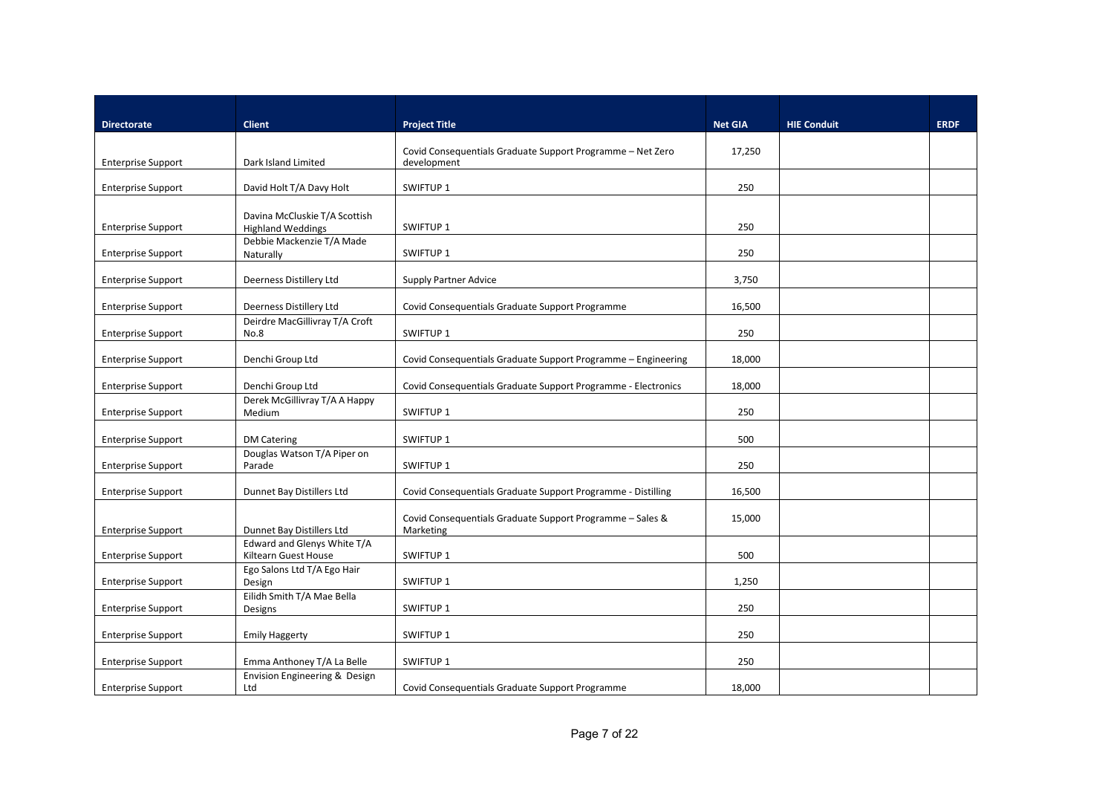| <b>Directorate</b>        | <b>Client</b>                                             | <b>Project Title</b>                                                      | <b>Net GIA</b> | <b>HIE Conduit</b> | <b>ERDF</b> |
|---------------------------|-----------------------------------------------------------|---------------------------------------------------------------------------|----------------|--------------------|-------------|
| <b>Enterprise Support</b> | Dark Island Limited                                       | Covid Consequentials Graduate Support Programme - Net Zero<br>development | 17,250         |                    |             |
| <b>Enterprise Support</b> | David Holt T/A Davy Holt                                  | SWIFTUP 1                                                                 | 250            |                    |             |
| <b>Enterprise Support</b> | Davina McCluskie T/A Scottish<br><b>Highland Weddings</b> | SWIFTUP 1                                                                 | 250            |                    |             |
| <b>Enterprise Support</b> | Debbie Mackenzie T/A Made<br>Naturally                    | SWIFTUP 1                                                                 | 250            |                    |             |
| <b>Enterprise Support</b> | Deerness Distillery Ltd                                   | <b>Supply Partner Advice</b>                                              | 3,750          |                    |             |
| <b>Enterprise Support</b> | Deerness Distillery Ltd                                   | Covid Consequentials Graduate Support Programme                           | 16,500         |                    |             |
| <b>Enterprise Support</b> | Deirdre MacGillivray T/A Croft<br>No.8                    | SWIFTUP 1                                                                 | 250            |                    |             |
| <b>Enterprise Support</b> | Denchi Group Ltd                                          | Covid Consequentials Graduate Support Programme - Engineering             | 18,000         |                    |             |
| <b>Enterprise Support</b> | Denchi Group Ltd                                          | Covid Consequentials Graduate Support Programme - Electronics             | 18,000         |                    |             |
| <b>Enterprise Support</b> | Derek McGillivray T/A A Happy<br>Medium                   | SWIFTUP 1                                                                 | 250            |                    |             |
| <b>Enterprise Support</b> | <b>DM Catering</b>                                        | SWIFTUP 1                                                                 | 500            |                    |             |
| <b>Enterprise Support</b> | Douglas Watson T/A Piper on<br>Parade                     | SWIFTUP 1                                                                 | 250            |                    |             |
| <b>Enterprise Support</b> | Dunnet Bay Distillers Ltd                                 | Covid Consequentials Graduate Support Programme - Distilling              | 16,500         |                    |             |
| <b>Enterprise Support</b> | Dunnet Bay Distillers Ltd                                 | Covid Consequentials Graduate Support Programme - Sales &<br>Marketing    | 15,000         |                    |             |
| <b>Enterprise Support</b> | Edward and Glenys White T/A<br>Kiltearn Guest House       | SWIFTUP 1                                                                 | 500            |                    |             |
| <b>Enterprise Support</b> | Ego Salons Ltd T/A Ego Hair<br>Design                     | SWIFTUP 1                                                                 | 1,250          |                    |             |
| <b>Enterprise Support</b> | Eilidh Smith T/A Mae Bella<br>Designs                     | SWIFTUP 1                                                                 | 250            |                    |             |
| <b>Enterprise Support</b> | <b>Emily Haggerty</b>                                     | SWIFTUP 1                                                                 | 250            |                    |             |
| <b>Enterprise Support</b> | Emma Anthoney T/A La Belle                                | <b>SWIFTUP 1</b>                                                          | 250            |                    |             |
| <b>Enterprise Support</b> | Envision Engineering & Design<br>Ltd                      | Covid Consequentials Graduate Support Programme                           | 18,000         |                    |             |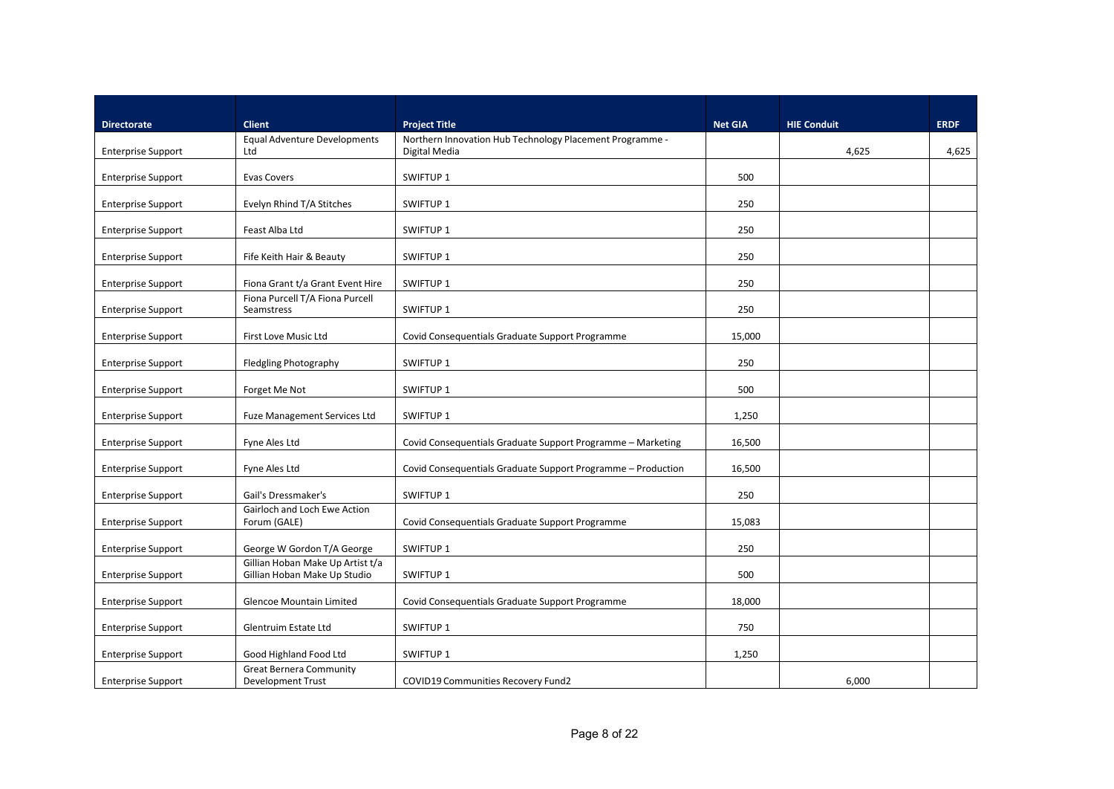| <b>Directorate</b>        | <b>Client</b>                                                    | <b>Project Title</b>                                                      | <b>Net GIA</b> | <b>HIE Conduit</b> | <b>ERDF</b> |
|---------------------------|------------------------------------------------------------------|---------------------------------------------------------------------------|----------------|--------------------|-------------|
| <b>Enterprise Support</b> | <b>Equal Adventure Developments</b><br>Ltd                       | Northern Innovation Hub Technology Placement Programme -<br>Digital Media |                | 4,625              | 4,625       |
| <b>Enterprise Support</b> | <b>Evas Covers</b>                                               | SWIFTUP 1                                                                 | 500            |                    |             |
| <b>Enterprise Support</b> | Evelyn Rhind T/A Stitches                                        | SWIFTUP 1                                                                 | 250            |                    |             |
| <b>Enterprise Support</b> | Feast Alba Ltd                                                   | SWIFTUP 1                                                                 | 250            |                    |             |
| <b>Enterprise Support</b> | Fife Keith Hair & Beauty                                         | SWIFTUP 1                                                                 | 250            |                    |             |
| <b>Enterprise Support</b> | Fiona Grant t/a Grant Event Hire                                 | SWIFTUP 1                                                                 | 250            |                    |             |
| <b>Enterprise Support</b> | Fiona Purcell T/A Fiona Purcell<br>Seamstress                    | SWIFTUP 1                                                                 | 250            |                    |             |
| <b>Enterprise Support</b> | First Love Music Ltd                                             | Covid Consequentials Graduate Support Programme                           | 15,000         |                    |             |
| <b>Enterprise Support</b> | Fledgling Photography                                            | SWIFTUP 1                                                                 | 250            |                    |             |
| <b>Enterprise Support</b> | Forget Me Not                                                    | SWIFTUP 1                                                                 | 500            |                    |             |
| <b>Enterprise Support</b> | <b>Fuze Management Services Ltd</b>                              | <b>SWIFTUP 1</b>                                                          | 1,250          |                    |             |
| <b>Enterprise Support</b> | Fyne Ales Ltd                                                    | Covid Consequentials Graduate Support Programme - Marketing               | 16,500         |                    |             |
| <b>Enterprise Support</b> | Fyne Ales Ltd                                                    | Covid Consequentials Graduate Support Programme - Production              | 16,500         |                    |             |
| <b>Enterprise Support</b> | Gail's Dressmaker's                                              | SWIFTUP 1                                                                 | 250            |                    |             |
| <b>Enterprise Support</b> | Gairloch and Loch Ewe Action<br>Forum (GALE)                     | Covid Consequentials Graduate Support Programme                           | 15,083         |                    |             |
| <b>Enterprise Support</b> | George W Gordon T/A George                                       | SWIFTUP 1                                                                 | 250            |                    |             |
| <b>Enterprise Support</b> | Gillian Hoban Make Up Artist t/a<br>Gillian Hoban Make Up Studio | SWIFTUP 1                                                                 | 500            |                    |             |
| <b>Enterprise Support</b> | <b>Glencoe Mountain Limited</b>                                  | Covid Consequentials Graduate Support Programme                           | 18,000         |                    |             |
| <b>Enterprise Support</b> | Glentruim Estate Ltd                                             | SWIFTUP 1                                                                 | 750            |                    |             |
| <b>Enterprise Support</b> | Good Highland Food Ltd                                           | SWIFTUP 1                                                                 | 1,250          |                    |             |
| <b>Enterprise Support</b> | <b>Great Bernera Community</b><br><b>Development Trust</b>       | COVID19 Communities Recovery Fund2                                        |                | 6,000              |             |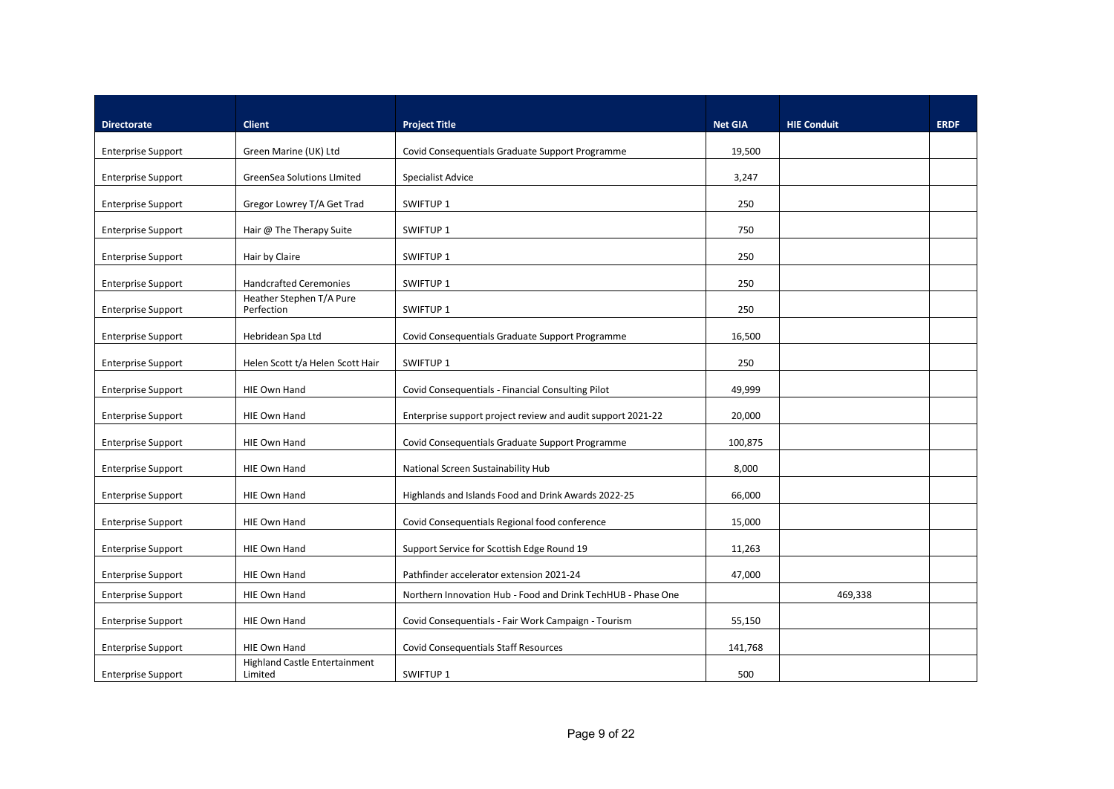| <b>Directorate</b>        | <b>Client</b>                                   | <b>Project Title</b>                                         | <b>Net GIA</b> | <b>HIE Conduit</b> | <b>ERDF</b> |
|---------------------------|-------------------------------------------------|--------------------------------------------------------------|----------------|--------------------|-------------|
| <b>Enterprise Support</b> | Green Marine (UK) Ltd                           | Covid Consequentials Graduate Support Programme              | 19,500         |                    |             |
| <b>Enterprise Support</b> | <b>GreenSea Solutions LImited</b>               | Specialist Advice                                            | 3,247          |                    |             |
| <b>Enterprise Support</b> | Gregor Lowrey T/A Get Trad                      | SWIFTUP 1                                                    | 250            |                    |             |
| <b>Enterprise Support</b> | Hair @ The Therapy Suite                        | SWIFTUP 1                                                    | 750            |                    |             |
| <b>Enterprise Support</b> | Hair by Claire                                  | SWIFTUP 1                                                    | 250            |                    |             |
| <b>Enterprise Support</b> | <b>Handcrafted Ceremonies</b>                   | SWIFTUP 1                                                    | 250            |                    |             |
| <b>Enterprise Support</b> | Heather Stephen T/A Pure<br>Perfection          | SWIFTUP <sub>1</sub>                                         | 250            |                    |             |
| <b>Enterprise Support</b> | Hebridean Spa Ltd                               | Covid Consequentials Graduate Support Programme              | 16.500         |                    |             |
| <b>Enterprise Support</b> | Helen Scott t/a Helen Scott Hair                | SWIFTUP 1                                                    | 250            |                    |             |
| <b>Enterprise Support</b> | HIE Own Hand                                    | Covid Consequentials - Financial Consulting Pilot            | 49,999         |                    |             |
| <b>Enterprise Support</b> | HIE Own Hand                                    | Enterprise support project review and audit support 2021-22  | 20,000         |                    |             |
| <b>Enterprise Support</b> | HIE Own Hand                                    | Covid Consequentials Graduate Support Programme              | 100,875        |                    |             |
| <b>Enterprise Support</b> | HIE Own Hand                                    | National Screen Sustainability Hub                           | 8,000          |                    |             |
| <b>Enterprise Support</b> | HIE Own Hand                                    | Highlands and Islands Food and Drink Awards 2022-25          | 66,000         |                    |             |
| <b>Enterprise Support</b> | HIE Own Hand                                    | Covid Consequentials Regional food conference                | 15,000         |                    |             |
| <b>Enterprise Support</b> | HIE Own Hand                                    | Support Service for Scottish Edge Round 19                   | 11,263         |                    |             |
| <b>Enterprise Support</b> | HIE Own Hand                                    | Pathfinder accelerator extension 2021-24                     | 47,000         |                    |             |
| <b>Enterprise Support</b> | HIE Own Hand                                    | Northern Innovation Hub - Food and Drink TechHUB - Phase One |                | 469,338            |             |
| <b>Enterprise Support</b> | HIE Own Hand                                    | Covid Consequentials - Fair Work Campaign - Tourism          | 55,150         |                    |             |
| <b>Enterprise Support</b> | HIE Own Hand                                    | <b>Covid Consequentials Staff Resources</b>                  | 141,768        |                    |             |
| <b>Enterprise Support</b> | <b>Highland Castle Entertainment</b><br>Limited | SWIFTUP 1                                                    | 500            |                    |             |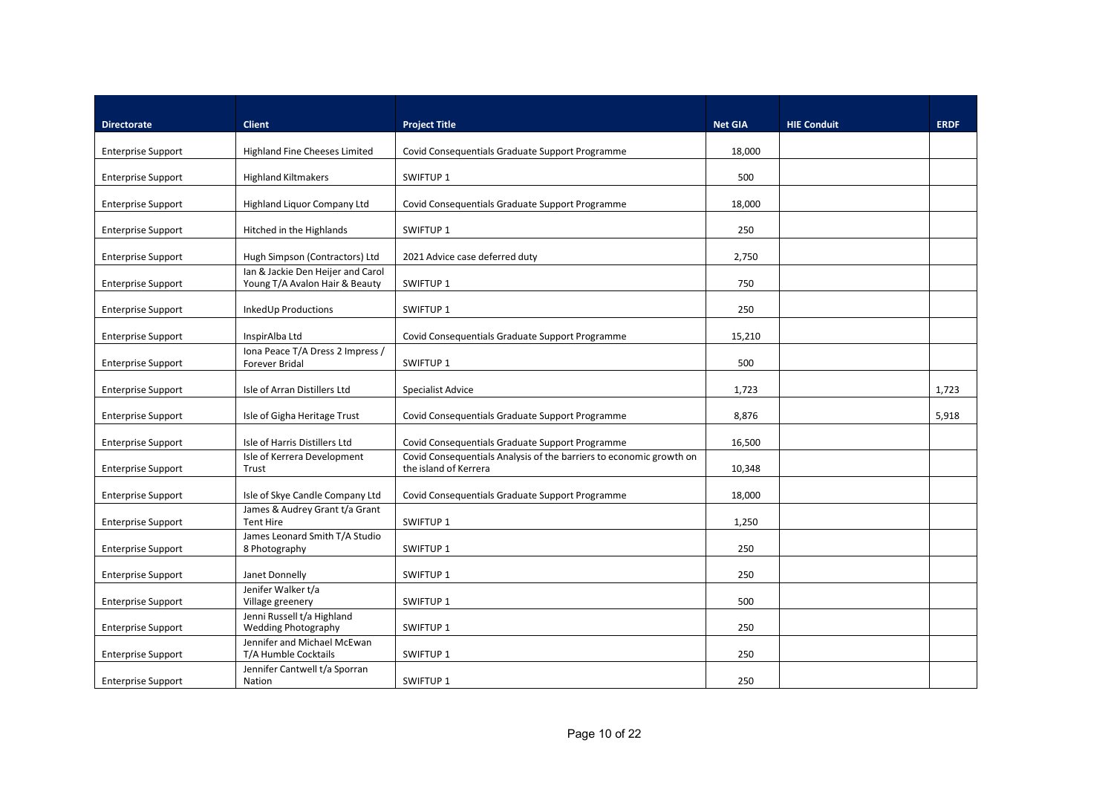| <b>Directorate</b>        | <b>Client</b>                                                       | <b>Project Title</b>                                                                         | <b>Net GIA</b> | <b>HIE Conduit</b> | <b>ERDF</b> |
|---------------------------|---------------------------------------------------------------------|----------------------------------------------------------------------------------------------|----------------|--------------------|-------------|
| <b>Enterprise Support</b> | Highland Fine Cheeses Limited                                       | Covid Consequentials Graduate Support Programme                                              | 18,000         |                    |             |
| <b>Enterprise Support</b> | <b>Highland Kiltmakers</b>                                          | SWIFTUP 1                                                                                    | 500            |                    |             |
| <b>Enterprise Support</b> | Highland Liquor Company Ltd                                         | Covid Consequentials Graduate Support Programme                                              | 18,000         |                    |             |
| <b>Enterprise Support</b> | Hitched in the Highlands                                            | SWIFTUP 1                                                                                    | 250            |                    |             |
| <b>Enterprise Support</b> | Hugh Simpson (Contractors) Ltd                                      | 2021 Advice case deferred duty                                                               | 2,750          |                    |             |
| <b>Enterprise Support</b> | Ian & Jackie Den Heijer and Carol<br>Young T/A Avalon Hair & Beauty | <b>SWIFTUP 1</b>                                                                             | 750            |                    |             |
| <b>Enterprise Support</b> | InkedUp Productions                                                 | SWIFTUP <sub>1</sub>                                                                         | 250            |                    |             |
| <b>Enterprise Support</b> | InspirAlba Ltd                                                      | Covid Consequentials Graduate Support Programme                                              | 15,210         |                    |             |
| <b>Enterprise Support</b> | Iona Peace T/A Dress 2 Impress /<br>Forever Bridal                  | SWIFTUP 1                                                                                    | 500            |                    |             |
| <b>Enterprise Support</b> | Isle of Arran Distillers Ltd                                        | Specialist Advice                                                                            | 1,723          |                    | 1,723       |
| <b>Enterprise Support</b> | Isle of Gigha Heritage Trust                                        | Covid Consequentials Graduate Support Programme                                              | 8,876          |                    | 5,918       |
| <b>Enterprise Support</b> | Isle of Harris Distillers Ltd                                       | Covid Consequentials Graduate Support Programme                                              | 16,500         |                    |             |
| <b>Enterprise Support</b> | Isle of Kerrera Development<br>Trust                                | Covid Consequentials Analysis of the barriers to economic growth on<br>the island of Kerrera | 10,348         |                    |             |
| <b>Enterprise Support</b> | Isle of Skye Candle Company Ltd                                     | Covid Consequentials Graduate Support Programme                                              | 18,000         |                    |             |
| <b>Enterprise Support</b> | James & Audrey Grant t/a Grant<br><b>Tent Hire</b>                  | SWIFTUP <sub>1</sub>                                                                         | 1,250          |                    |             |
| <b>Enterprise Support</b> | James Leonard Smith T/A Studio<br>8 Photography                     | SWIFTUP <sub>1</sub>                                                                         | 250            |                    |             |
| <b>Enterprise Support</b> | Janet Donnelly                                                      | SWIFTUP 1                                                                                    | 250            |                    |             |
| <b>Enterprise Support</b> | Jenifer Walker t/a<br>Village greenery                              | SWIFTUP 1                                                                                    | 500            |                    |             |
| <b>Enterprise Support</b> | Jenni Russell t/a Highland<br><b>Wedding Photography</b>            | SWIFTUP 1                                                                                    | 250            |                    |             |
| <b>Enterprise Support</b> | Jennifer and Michael McEwan<br>T/A Humble Cocktails                 | SWIFTUP 1                                                                                    | 250            |                    |             |
| <b>Enterprise Support</b> | Jennifer Cantwell t/a Sporran<br>Nation                             | <b>SWIFTUP 1</b>                                                                             | 250            |                    |             |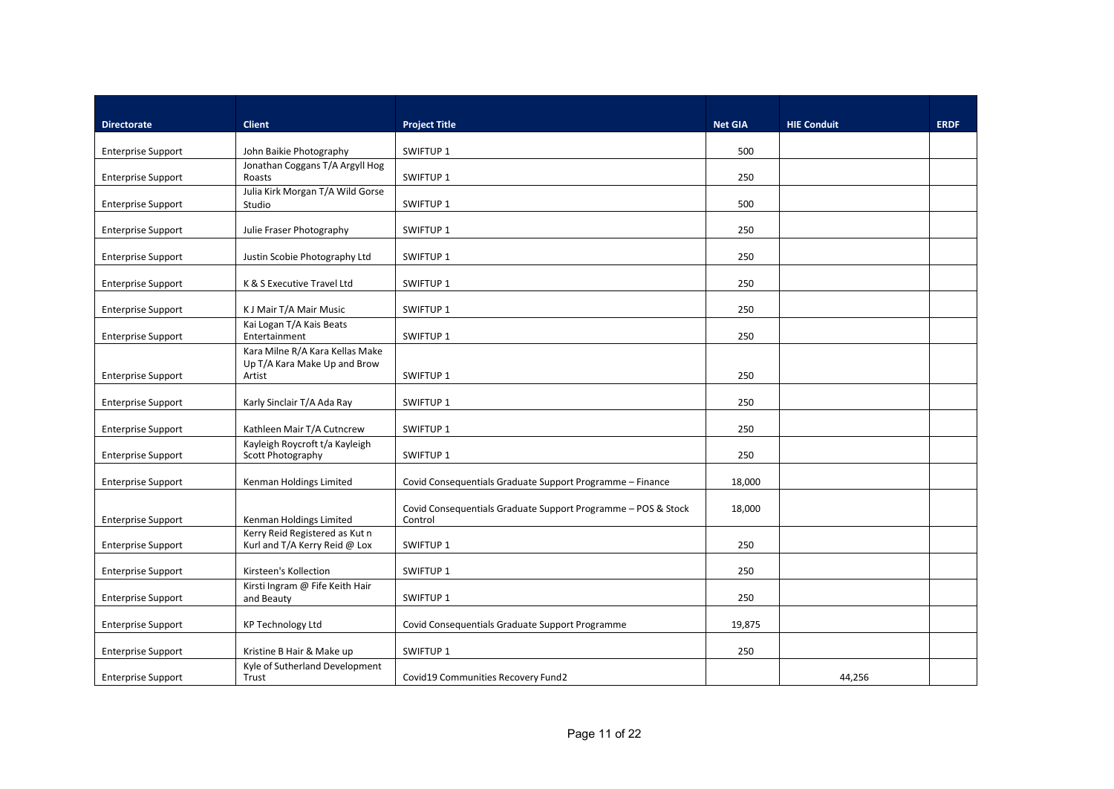| <b>Directorate</b>        | <b>Client</b>                                                             | <b>Project Title</b>                                                     | <b>Net GIA</b> | <b>HIE Conduit</b> | <b>ERDF</b> |
|---------------------------|---------------------------------------------------------------------------|--------------------------------------------------------------------------|----------------|--------------------|-------------|
| <b>Enterprise Support</b> | John Baikie Photography                                                   | SWIFTUP 1                                                                | 500            |                    |             |
| <b>Enterprise Support</b> | Jonathan Coggans T/A Argyll Hog<br>Roasts                                 | SWIFTUP 1                                                                | 250            |                    |             |
| <b>Enterprise Support</b> | Julia Kirk Morgan T/A Wild Gorse<br>Studio                                | SWIFTUP 1                                                                | 500            |                    |             |
| <b>Enterprise Support</b> | Julie Fraser Photography                                                  | SWIFTUP 1                                                                | 250            |                    |             |
| <b>Enterprise Support</b> | Justin Scobie Photography Ltd                                             | SWIFTUP 1                                                                | 250            |                    |             |
| <b>Enterprise Support</b> | K & S Executive Travel Ltd                                                | SWIFTUP 1                                                                | 250            |                    |             |
| <b>Enterprise Support</b> | K J Mair T/A Mair Music                                                   | SWIFTUP 1                                                                | 250            |                    |             |
| <b>Enterprise Support</b> | Kai Logan T/A Kais Beats<br>Entertainment                                 | SWIFTUP 1                                                                | 250            |                    |             |
| <b>Enterprise Support</b> | Kara Milne R/A Kara Kellas Make<br>Up T/A Kara Make Up and Brow<br>Artist | SWIFTUP 1                                                                | 250            |                    |             |
| <b>Enterprise Support</b> | Karly Sinclair T/A Ada Ray                                                | SWIFTUP 1                                                                | 250            |                    |             |
| <b>Enterprise Support</b> | Kathleen Mair T/A Cutncrew                                                | SWIFTUP 1                                                                | 250            |                    |             |
| <b>Enterprise Support</b> | Kayleigh Roycroft t/a Kayleigh<br>Scott Photography                       | SWIFTUP 1                                                                | 250            |                    |             |
| <b>Enterprise Support</b> | Kenman Holdings Limited                                                   | Covid Consequentials Graduate Support Programme - Finance                | 18,000         |                    |             |
| <b>Enterprise Support</b> | Kenman Holdings Limited                                                   | Covid Consequentials Graduate Support Programme - POS & Stock<br>Control | 18,000         |                    |             |
| <b>Enterprise Support</b> | Kerry Reid Registered as Kut n<br>Kurl and T/A Kerry Reid @ Lox           | SWIFTUP 1                                                                | 250            |                    |             |
| <b>Enterprise Support</b> | Kirsteen's Kollection                                                     | SWIFTUP 1                                                                | 250            |                    |             |
| <b>Enterprise Support</b> | Kirsti Ingram @ Fife Keith Hair<br>and Beauty                             | SWIFTUP 1                                                                | 250            |                    |             |
| <b>Enterprise Support</b> | <b>KP Technology Ltd</b>                                                  | Covid Consequentials Graduate Support Programme                          | 19,875         |                    |             |
| <b>Enterprise Support</b> | Kristine B Hair & Make up                                                 | SWIFTUP 1                                                                | 250            |                    |             |
| <b>Enterprise Support</b> | Kyle of Sutherland Development<br>Trust                                   | Covid19 Communities Recovery Fund2                                       |                | 44,256             |             |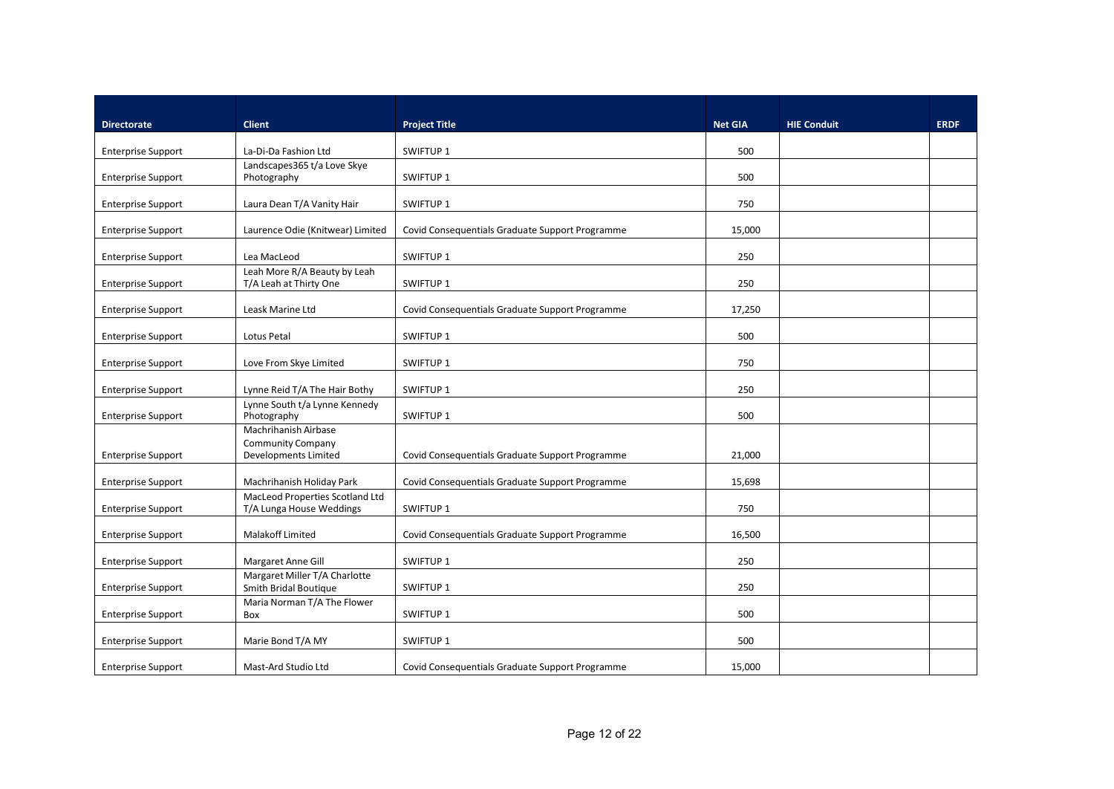| <b>Directorate</b>        | <b>Client</b>                                               | <b>Project Title</b>                            | <b>Net GIA</b> | <b>HIE Conduit</b> | <b>ERDF</b> |
|---------------------------|-------------------------------------------------------------|-------------------------------------------------|----------------|--------------------|-------------|
| <b>Enterprise Support</b> | La-Di-Da Fashion Ltd                                        | SWIFTUP 1                                       | 500            |                    |             |
|                           | Landscapes365 t/a Love Skye                                 |                                                 |                |                    |             |
| <b>Enterprise Support</b> | Photography                                                 | SWIFTUP 1                                       | 500            |                    |             |
| <b>Enterprise Support</b> | Laura Dean T/A Vanity Hair                                  | SWIFTUP 1                                       | 750            |                    |             |
| <b>Enterprise Support</b> | Laurence Odie (Knitwear) Limited                            | Covid Consequentials Graduate Support Programme | 15,000         |                    |             |
| <b>Enterprise Support</b> | Lea MacLeod                                                 | SWIFTUP 1                                       | 250            |                    |             |
| <b>Enterprise Support</b> | Leah More R/A Beauty by Leah<br>T/A Leah at Thirty One      | SWIFTUP <sub>1</sub>                            | 250            |                    |             |
| <b>Enterprise Support</b> | Leask Marine Ltd                                            | Covid Consequentials Graduate Support Programme | 17,250         |                    |             |
| <b>Enterprise Support</b> | Lotus Petal                                                 | SWIFTUP 1                                       | 500            |                    |             |
| <b>Enterprise Support</b> | Love From Skye Limited                                      | SWIFTUP 1                                       | 750            |                    |             |
| <b>Enterprise Support</b> | Lynne Reid T/A The Hair Bothy                               | SWIFTUP <sub>1</sub>                            | 250            |                    |             |
| <b>Enterprise Support</b> | Lynne South t/a Lynne Kennedy<br>Photography                | SWIFTUP <sub>1</sub>                            | 500            |                    |             |
|                           | Machrihanish Airbase<br><b>Community Company</b>            |                                                 |                |                    |             |
| <b>Enterprise Support</b> | <b>Developments Limited</b>                                 | Covid Consequentials Graduate Support Programme | 21,000         |                    |             |
| <b>Enterprise Support</b> | Machrihanish Holiday Park                                   | Covid Consequentials Graduate Support Programme | 15,698         |                    |             |
| <b>Enterprise Support</b> | MacLeod Properties Scotland Ltd<br>T/A Lunga House Weddings | SWIFTUP 1                                       | 750            |                    |             |
| <b>Enterprise Support</b> | <b>Malakoff Limited</b>                                     | Covid Consequentials Graduate Support Programme | 16,500         |                    |             |
| <b>Enterprise Support</b> | Margaret Anne Gill                                          | SWIFTUP 1                                       | 250            |                    |             |
|                           | Margaret Miller T/A Charlotte                               |                                                 |                |                    |             |
| <b>Enterprise Support</b> | <b>Smith Bridal Boutique</b>                                | SWIFTUP 1                                       | 250            |                    |             |
| <b>Enterprise Support</b> | Maria Norman T/A The Flower<br>Box                          | SWIFTUP 1                                       | 500            |                    |             |
| <b>Enterprise Support</b> | Marie Bond T/A MY                                           | SWIFTUP 1                                       | 500            |                    |             |
| <b>Enterprise Support</b> | Mast-Ard Studio Ltd                                         | Covid Consequentials Graduate Support Programme | 15,000         |                    |             |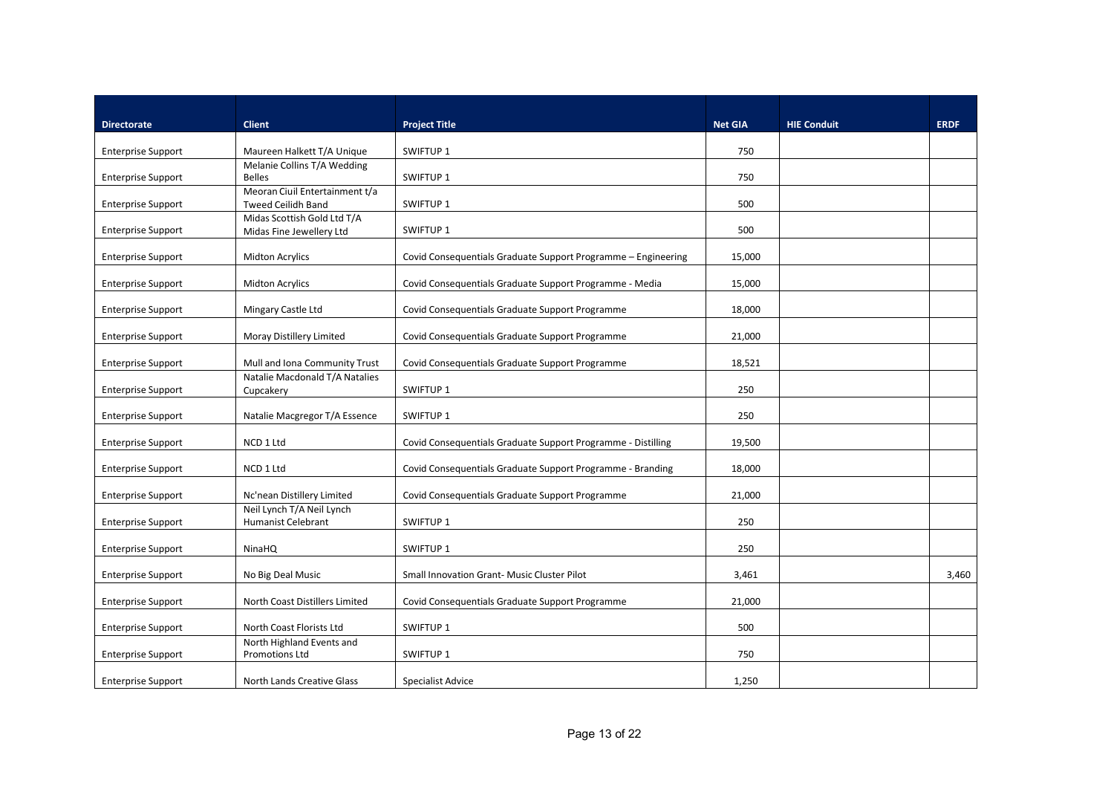| <b>Directorate</b>        | <b>Client</b>                                               | <b>Project Title</b>                                          | <b>Net GIA</b> | <b>HIE Conduit</b> | <b>ERDF</b> |
|---------------------------|-------------------------------------------------------------|---------------------------------------------------------------|----------------|--------------------|-------------|
| <b>Enterprise Support</b> | Maureen Halkett T/A Unique                                  | SWIFTUP 1                                                     | 750            |                    |             |
| <b>Enterprise Support</b> | Melanie Collins T/A Wedding<br><b>Belles</b>                | SWIFTUP 1                                                     | 750            |                    |             |
| <b>Enterprise Support</b> | Meoran Ciuil Entertainment t/a<br><b>Tweed Ceilidh Band</b> | SWIFTUP 1                                                     | 500            |                    |             |
| <b>Enterprise Support</b> | Midas Scottish Gold Ltd T/A<br>Midas Fine Jewellery Ltd     | SWIFTUP 1                                                     | 500            |                    |             |
| <b>Enterprise Support</b> | <b>Midton Acrylics</b>                                      | Covid Consequentials Graduate Support Programme - Engineering | 15,000         |                    |             |
| <b>Enterprise Support</b> | <b>Midton Acrylics</b>                                      | Covid Consequentials Graduate Support Programme - Media       | 15,000         |                    |             |
| <b>Enterprise Support</b> | Mingary Castle Ltd                                          | Covid Consequentials Graduate Support Programme               | 18,000         |                    |             |
| <b>Enterprise Support</b> | Moray Distillery Limited                                    | Covid Consequentials Graduate Support Programme               | 21,000         |                    |             |
| <b>Enterprise Support</b> | Mull and Iona Community Trust                               | Covid Consequentials Graduate Support Programme               | 18,521         |                    |             |
| <b>Enterprise Support</b> | Natalie Macdonald T/A Natalies<br>Cupcakery                 | SWIFTUP 1                                                     | 250            |                    |             |
| <b>Enterprise Support</b> | Natalie Macgregor T/A Essence                               | SWIFTUP 1                                                     | 250            |                    |             |
| <b>Enterprise Support</b> | NCD 1 Ltd                                                   | Covid Consequentials Graduate Support Programme - Distilling  | 19,500         |                    |             |
| <b>Enterprise Support</b> | NCD 1 Ltd                                                   | Covid Consequentials Graduate Support Programme - Branding    | 18,000         |                    |             |
| <b>Enterprise Support</b> | Nc'nean Distillery Limited                                  | Covid Consequentials Graduate Support Programme               | 21,000         |                    |             |
| <b>Enterprise Support</b> | Neil Lynch T/A Neil Lynch<br>Humanist Celebrant             | SWIFTUP 1                                                     | 250            |                    |             |
| <b>Enterprise Support</b> | <b>NinaHQ</b>                                               | SWIFTUP 1                                                     | 250            |                    |             |
| <b>Enterprise Support</b> | No Big Deal Music                                           | Small Innovation Grant- Music Cluster Pilot                   | 3,461          |                    | 3,460       |
| <b>Enterprise Support</b> | North Coast Distillers Limited                              | Covid Consequentials Graduate Support Programme               | 21,000         |                    |             |
| <b>Enterprise Support</b> | North Coast Florists Ltd                                    | SWIFTUP 1                                                     | 500            |                    |             |
| <b>Enterprise Support</b> | North Highland Events and<br><b>Promotions Ltd</b>          | SWIFTUP 1                                                     | 750            |                    |             |
| <b>Enterprise Support</b> | <b>North Lands Creative Glass</b>                           | <b>Specialist Advice</b>                                      | 1,250          |                    |             |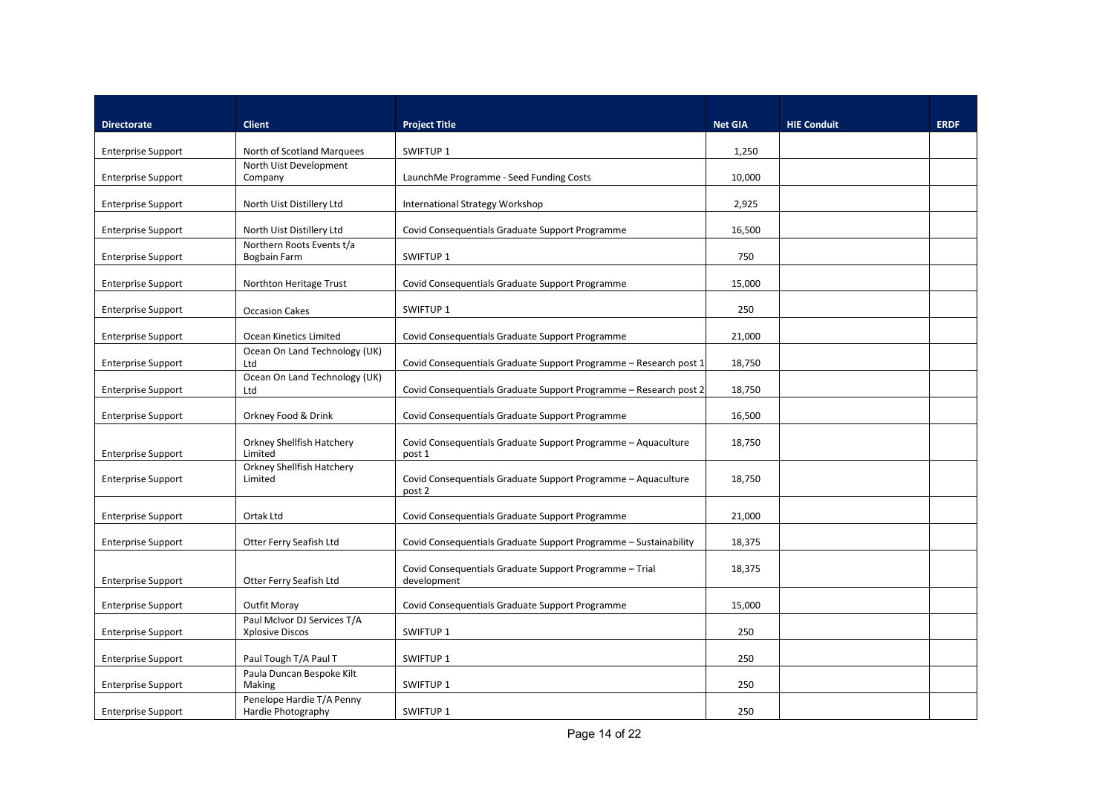| <b>Directorate</b>        | <b>Client</b>                                    | <b>Project Title</b>                                                    | <b>Net GIA</b> | <b>HIE Conduit</b> | <b>ERDF</b> |
|---------------------------|--------------------------------------------------|-------------------------------------------------------------------------|----------------|--------------------|-------------|
| <b>Enterprise Support</b> | North of Scotland Marquees                       | SWIFTUP 1                                                               | 1,250          |                    |             |
| <b>Enterprise Support</b> | North Uist Development<br>Company                | LaunchMe Programme - Seed Funding Costs                                 | 10,000         |                    |             |
| <b>Enterprise Support</b> | North Uist Distillery Ltd                        | International Strategy Workshop                                         | 2,925          |                    |             |
| <b>Enterprise Support</b> | North Uist Distillery Ltd                        | Covid Consequentials Graduate Support Programme                         | 16,500         |                    |             |
| <b>Enterprise Support</b> | Northern Roots Events t/a<br><b>Bogbain Farm</b> | SWIFTUP 1                                                               | 750            |                    |             |
| <b>Enterprise Support</b> | Northton Heritage Trust                          | Covid Consequentials Graduate Support Programme                         | 15,000         |                    |             |
| <b>Enterprise Support</b> | <b>Occasion Cakes</b>                            | SWIFTUP 1                                                               | 250            |                    |             |
| <b>Enterprise Support</b> | Ocean Kinetics Limited                           | Covid Consequentials Graduate Support Programme                         | 21,000         |                    |             |
| <b>Enterprise Support</b> | Ocean On Land Technology (UK)<br>Ltd             | Covid Consequentials Graduate Support Programme - Research post 1       | 18,750         |                    |             |
| <b>Enterprise Support</b> | Ocean On Land Technology (UK)<br>Ltd             | Covid Consequentials Graduate Support Programme - Research post 2       | 18,750         |                    |             |
| <b>Enterprise Support</b> | Orkney Food & Drink                              | Covid Consequentials Graduate Support Programme                         | 16,500         |                    |             |
| <b>Enterprise Support</b> | Orkney Shellfish Hatchery<br>Limited             | Covid Consequentials Graduate Support Programme - Aquaculture<br>post 1 | 18,750         |                    |             |
| <b>Enterprise Support</b> | Orkney Shellfish Hatchery<br>Limited             | Covid Consequentials Graduate Support Programme - Aquaculture<br>post 2 | 18,750         |                    |             |
| <b>Enterprise Support</b> | Ortak Ltd                                        | Covid Consequentials Graduate Support Programme                         | 21,000         |                    |             |
| <b>Enterprise Support</b> | Otter Ferry Seafish Ltd                          | Covid Consequentials Graduate Support Programme - Sustainability        | 18,375         |                    |             |
| <b>Enterprise Support</b> | Otter Ferry Seafish Ltd                          | Covid Consequentials Graduate Support Programme - Trial<br>development  | 18,375         |                    |             |
| <b>Enterprise Support</b> | <b>Outfit Moray</b>                              | Covid Consequentials Graduate Support Programme                         | 15,000         |                    |             |
| <b>Enterprise Support</b> | Paul McIvor DJ Services T/A<br>Xplosive Discos   | SWIFTUP 1                                                               | 250            |                    |             |
| <b>Enterprise Support</b> | Paul Tough T/A Paul T                            | SWIFTUP 1                                                               | 250            |                    |             |
| <b>Enterprise Support</b> | Paula Duncan Bespoke Kilt<br>Making              | SWIFTUP 1                                                               | 250            |                    |             |
| <b>Enterprise Support</b> | Penelope Hardie T/A Penny<br>Hardie Photography  | SWIFTUP 1                                                               | 250            |                    |             |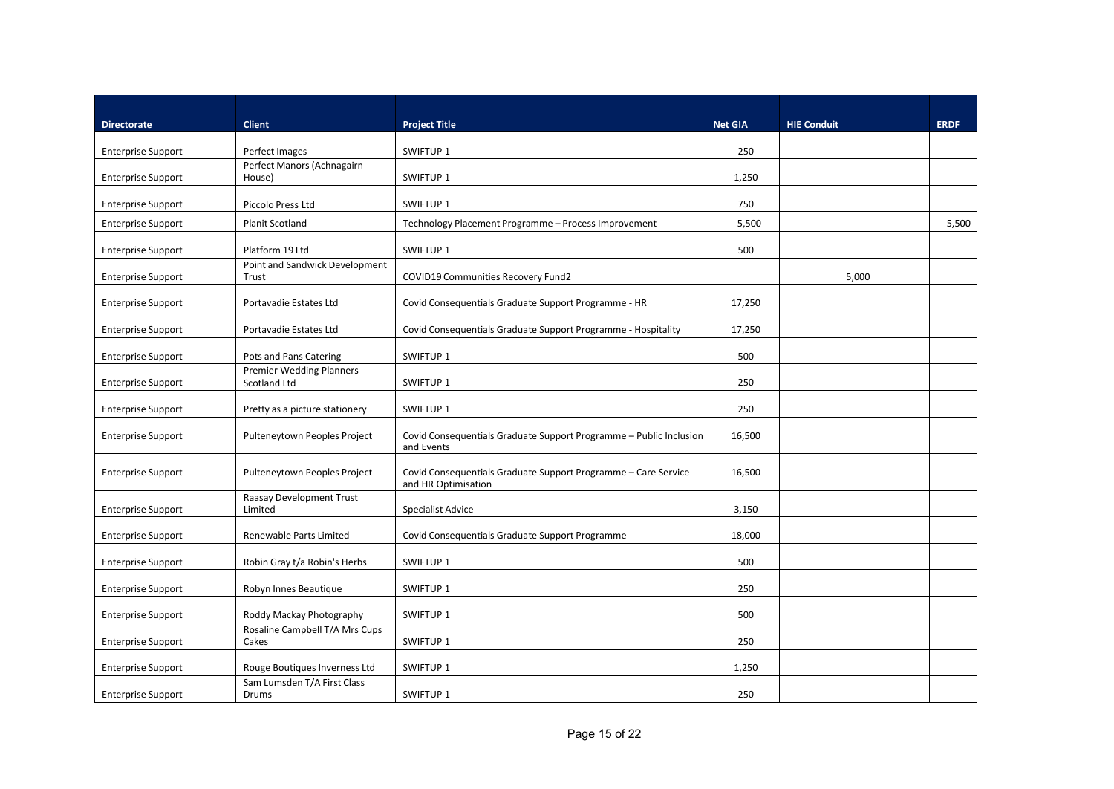| <b>Directorate</b>        | <b>Client</b>                                          | <b>Project Title</b>                                                                  | <b>Net GIA</b> | <b>HIE Conduit</b> | <b>ERDF</b> |
|---------------------------|--------------------------------------------------------|---------------------------------------------------------------------------------------|----------------|--------------------|-------------|
|                           |                                                        |                                                                                       |                |                    |             |
| <b>Enterprise Support</b> | Perfect Images<br>Perfect Manors (Achnagairn           | SWIFTUP 1                                                                             | 250            |                    |             |
| <b>Enterprise Support</b> | House)                                                 | SWIFTUP 1                                                                             | 1,250          |                    |             |
| <b>Enterprise Support</b> | Piccolo Press Ltd                                      | SWIFTUP 1                                                                             | 750            |                    |             |
| <b>Enterprise Support</b> | <b>Planit Scotland</b>                                 | Technology Placement Programme - Process Improvement                                  | 5,500          |                    | 5,500       |
| <b>Enterprise Support</b> | Platform 19 Ltd                                        | SWIFTUP 1                                                                             | 500            |                    |             |
| <b>Enterprise Support</b> | Point and Sandwick Development<br>Trust                | COVID19 Communities Recovery Fund2                                                    |                | 5,000              |             |
| <b>Enterprise Support</b> | Portavadie Estates Ltd                                 | Covid Consequentials Graduate Support Programme - HR                                  | 17,250         |                    |             |
| <b>Enterprise Support</b> | Portavadie Estates Ltd                                 | Covid Consequentials Graduate Support Programme - Hospitality                         | 17,250         |                    |             |
| <b>Enterprise Support</b> | Pots and Pans Catering                                 | SWIFTUP 1                                                                             | 500            |                    |             |
| <b>Enterprise Support</b> | <b>Premier Wedding Planners</b><br><b>Scotland Ltd</b> | SWIFTUP 1                                                                             | 250            |                    |             |
| <b>Enterprise Support</b> | Pretty as a picture stationery                         | SWIFTUP 1                                                                             | 250            |                    |             |
| <b>Enterprise Support</b> | Pulteneytown Peoples Project                           | Covid Consequentials Graduate Support Programme - Public Inclusion<br>and Events      | 16,500         |                    |             |
| <b>Enterprise Support</b> | Pulteneytown Peoples Project                           | Covid Consequentials Graduate Support Programme - Care Service<br>and HR Optimisation | 16,500         |                    |             |
| <b>Enterprise Support</b> | Raasay Development Trust<br>Limited                    | Specialist Advice                                                                     | 3,150          |                    |             |
| <b>Enterprise Support</b> | Renewable Parts Limited                                | Covid Consequentials Graduate Support Programme                                       | 18,000         |                    |             |
| <b>Enterprise Support</b> | Robin Gray t/a Robin's Herbs                           | SWIFTUP 1                                                                             | 500            |                    |             |
| <b>Enterprise Support</b> | Robyn Innes Beautique                                  | SWIFTUP 1                                                                             | 250            |                    |             |
| <b>Enterprise Support</b> | Roddy Mackay Photography                               | SWIFTUP 1                                                                             | 500            |                    |             |
| <b>Enterprise Support</b> | Rosaline Campbell T/A Mrs Cups<br>Cakes                | SWIFTUP 1                                                                             | 250            |                    |             |
| <b>Enterprise Support</b> | Rouge Boutiques Inverness Ltd                          | SWIFTUP 1                                                                             | 1,250          |                    |             |
| <b>Enterprise Support</b> | Sam Lumsden T/A First Class<br><b>Drums</b>            | SWIFTUP 1                                                                             | 250            |                    |             |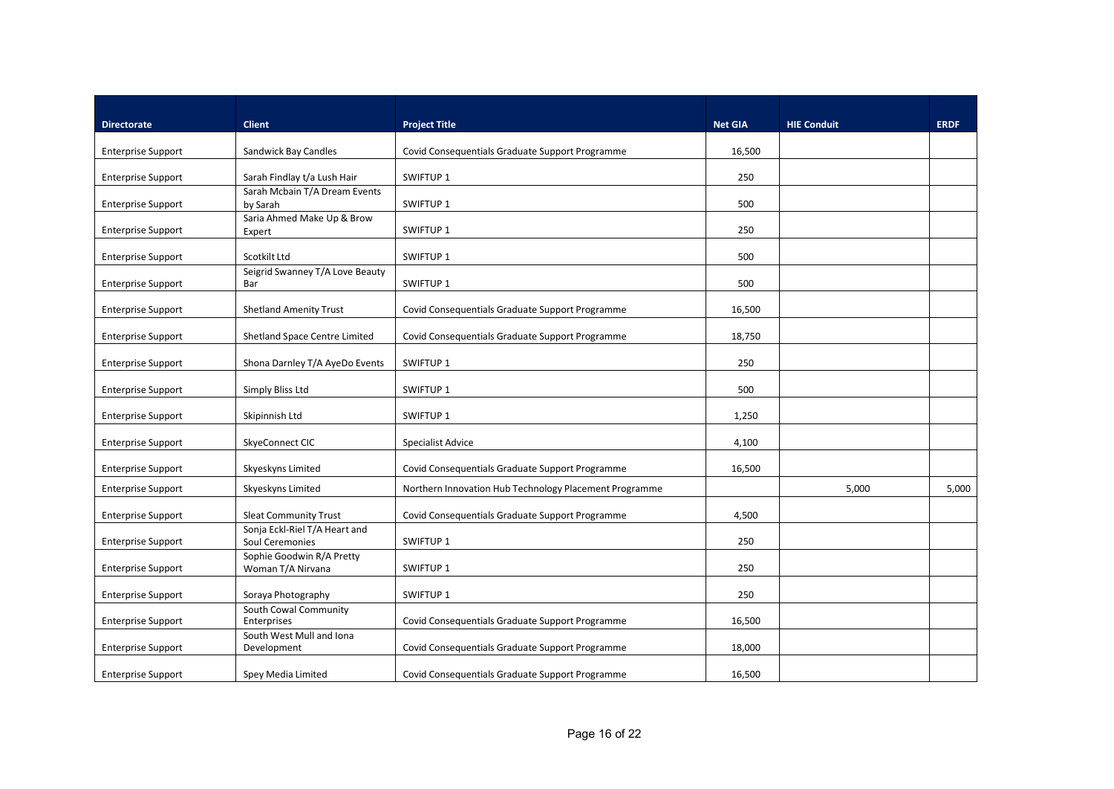| <b>Directorate</b>        | <b>Client</b>                                    | <b>Project Title</b>                                   | <b>Net GIA</b> | <b>HIE Conduit</b> | <b>ERDF</b> |
|---------------------------|--------------------------------------------------|--------------------------------------------------------|----------------|--------------------|-------------|
| <b>Enterprise Support</b> | Sandwick Bay Candles                             | Covid Consequentials Graduate Support Programme        | 16,500         |                    |             |
| <b>Enterprise Support</b> | Sarah Findlay t/a Lush Hair                      | SWIFTUP 1                                              | 250            |                    |             |
| <b>Enterprise Support</b> | Sarah Mcbain T/A Dream Events<br>by Sarah        | SWIFTUP 1                                              | 500            |                    |             |
| <b>Enterprise Support</b> | Saria Ahmed Make Up & Brow<br>Expert             | SWIFTUP 1                                              | 250            |                    |             |
| <b>Enterprise Support</b> | Scotkilt Ltd                                     | SWIFTUP 1                                              | 500            |                    |             |
| <b>Enterprise Support</b> | Seigrid Swanney T/A Love Beauty<br>Bar           | SWIFTUP 1                                              | 500            |                    |             |
| <b>Enterprise Support</b> | <b>Shetland Amenity Trust</b>                    | Covid Consequentials Graduate Support Programme        | 16,500         |                    |             |
| <b>Enterprise Support</b> | Shetland Space Centre Limited                    | Covid Consequentials Graduate Support Programme        | 18,750         |                    |             |
| <b>Enterprise Support</b> | Shona Darnley T/A AyeDo Events                   | SWIFTUP 1                                              | 250            |                    |             |
| <b>Enterprise Support</b> | Simply Bliss Ltd                                 | SWIFTUP 1                                              | 500            |                    |             |
| <b>Enterprise Support</b> | Skipinnish Ltd                                   | SWIFTUP 1                                              | 1,250          |                    |             |
| <b>Enterprise Support</b> | SkyeConnect CIC                                  | Specialist Advice                                      | 4,100          |                    |             |
| <b>Enterprise Support</b> | Skyeskyns Limited                                | Covid Consequentials Graduate Support Programme        | 16,500         |                    |             |
| <b>Enterprise Support</b> | Skyeskyns Limited                                | Northern Innovation Hub Technology Placement Programme |                | 5,000              | 5,000       |
| <b>Enterprise Support</b> | <b>Sleat Community Trust</b>                     | Covid Consequentials Graduate Support Programme        | 4,500          |                    |             |
| <b>Enterprise Support</b> | Sonja Eckl-Riel T/A Heart and<br>Soul Ceremonies | SWIFTUP <sub>1</sub>                                   | 250            |                    |             |
| <b>Enterprise Support</b> | Sophie Goodwin R/A Pretty<br>Woman T/A Nirvana   | SWIFTUP 1                                              | 250            |                    |             |
| <b>Enterprise Support</b> | Soraya Photography                               | SWIFTUP 1                                              | 250            |                    |             |
| <b>Enterprise Support</b> | South Cowal Community<br>Enterprises             | Covid Consequentials Graduate Support Programme        | 16,500         |                    |             |
| <b>Enterprise Support</b> | South West Mull and Iona<br>Development          | Covid Consequentials Graduate Support Programme        | 18,000         |                    |             |
| <b>Enterprise Support</b> | Spey Media Limited                               | Covid Consequentials Graduate Support Programme        | 16,500         |                    |             |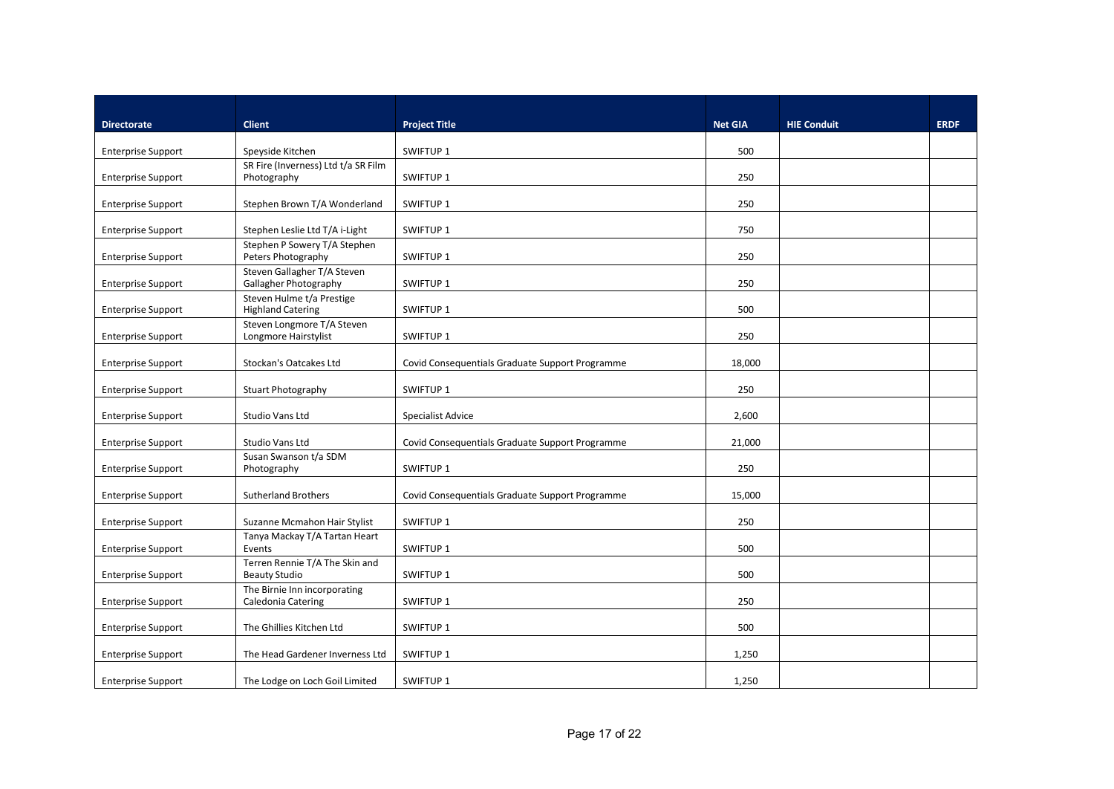| <b>Directorate</b>        | <b>Client</b>                                          | <b>Project Title</b>                            | <b>Net GIA</b> | <b>HIE Conduit</b> | <b>ERDF</b> |
|---------------------------|--------------------------------------------------------|-------------------------------------------------|----------------|--------------------|-------------|
| <b>Enterprise Support</b> | Speyside Kitchen                                       | SWIFTUP 1                                       | 500            |                    |             |
|                           | SR Fire (Inverness) Ltd t/a SR Film                    |                                                 |                |                    |             |
| <b>Enterprise Support</b> | Photography                                            | SWIFTUP 1                                       | 250            |                    |             |
| <b>Enterprise Support</b> | Stephen Brown T/A Wonderland                           | SWIFTUP <sub>1</sub>                            | 250            |                    |             |
| <b>Enterprise Support</b> | Stephen Leslie Ltd T/A i-Light                         | SWIFTUP 1                                       | 750            |                    |             |
| <b>Enterprise Support</b> | Stephen P Sowery T/A Stephen<br>Peters Photography     | <b>SWIFTUP 1</b>                                | 250            |                    |             |
| <b>Enterprise Support</b> | Steven Gallagher T/A Steven<br>Gallagher Photography   | SWIFTUP 1                                       | 250            |                    |             |
| <b>Enterprise Support</b> | Steven Hulme t/a Prestige<br><b>Highland Catering</b>  | SWIFTUP 1                                       | 500            |                    |             |
| <b>Enterprise Support</b> | Steven Longmore T/A Steven<br>Longmore Hairstylist     | SWIFTUP 1                                       | 250            |                    |             |
| <b>Enterprise Support</b> | Stockan's Oatcakes Ltd                                 | Covid Consequentials Graduate Support Programme | 18,000         |                    |             |
| <b>Enterprise Support</b> | <b>Stuart Photography</b>                              | SWIFTUP 1                                       | 250            |                    |             |
| <b>Enterprise Support</b> | Studio Vans Ltd                                        | Specialist Advice                               | 2,600          |                    |             |
| <b>Enterprise Support</b> | Studio Vans Ltd                                        | Covid Consequentials Graduate Support Programme | 21,000         |                    |             |
| <b>Enterprise Support</b> | Susan Swanson t/a SDM<br>Photography                   | SWIFTUP 1                                       | 250            |                    |             |
| <b>Enterprise Support</b> | <b>Sutherland Brothers</b>                             | Covid Consequentials Graduate Support Programme | 15,000         |                    |             |
| <b>Enterprise Support</b> | Suzanne Mcmahon Hair Stylist                           | SWIFTUP 1                                       | 250            |                    |             |
| <b>Enterprise Support</b> | Tanya Mackay T/A Tartan Heart<br>Events                | SWIFTUP 1                                       | 500            |                    |             |
| <b>Enterprise Support</b> | Terren Rennie T/A The Skin and<br><b>Beauty Studio</b> | SWIFTUP 1                                       | 500            |                    |             |
| <b>Enterprise Support</b> | The Birnie Inn incorporating<br>Caledonia Catering     | SWIFTUP 1                                       | 250            |                    |             |
| <b>Enterprise Support</b> | The Ghillies Kitchen Ltd                               | SWIFTUP 1                                       | 500            |                    |             |
| <b>Enterprise Support</b> | The Head Gardener Inverness Ltd                        | SWIFTUP 1                                       | 1,250          |                    |             |
| <b>Enterprise Support</b> | The Lodge on Loch Goil Limited                         | SWIFTUP 1                                       | 1,250          |                    |             |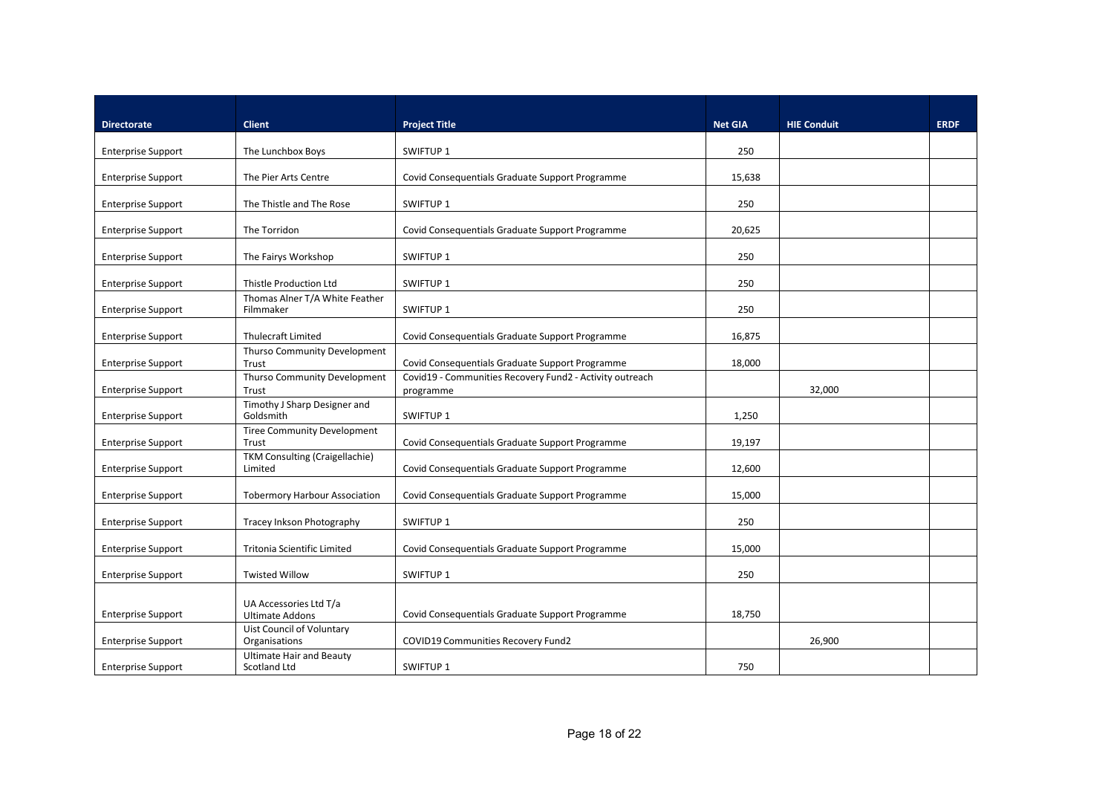| <b>Directorate</b>        | <b>Client</b>                                    | <b>Project Title</b>                                     | <b>Net GIA</b> | <b>HIE Conduit</b> | <b>ERDF</b> |
|---------------------------|--------------------------------------------------|----------------------------------------------------------|----------------|--------------------|-------------|
| <b>Enterprise Support</b> | The Lunchbox Boys                                | SWIFTUP 1                                                | 250            |                    |             |
|                           |                                                  |                                                          |                |                    |             |
| <b>Enterprise Support</b> | The Pier Arts Centre                             | Covid Consequentials Graduate Support Programme          | 15,638         |                    |             |
| <b>Enterprise Support</b> | The Thistle and The Rose                         | SWIFTUP 1                                                | 250            |                    |             |
| <b>Enterprise Support</b> | The Torridon                                     | Covid Consequentials Graduate Support Programme          | 20.625         |                    |             |
| <b>Enterprise Support</b> | The Fairys Workshop                              | SWIFTUP 1                                                | 250            |                    |             |
| <b>Enterprise Support</b> | <b>Thistle Production Ltd</b>                    | <b>SWIFTUP 1</b>                                         | 250            |                    |             |
| <b>Enterprise Support</b> | Thomas Alner T/A White Feather<br>Filmmaker      | SWIFTUP 1                                                | 250            |                    |             |
| <b>Enterprise Support</b> | <b>Thulecraft Limited</b>                        | Covid Consequentials Graduate Support Programme          | 16,875         |                    |             |
| <b>Enterprise Support</b> | Thurso Community Development<br>Trust            | Covid Consequentials Graduate Support Programme          | 18,000         |                    |             |
|                           | Thurso Community Development                     | Covid19 - Communities Recovery Fund2 - Activity outreach |                |                    |             |
| <b>Enterprise Support</b> | Trust                                            | programme                                                |                | 32,000             |             |
| <b>Enterprise Support</b> | Timothy J Sharp Designer and<br>Goldsmith        | SWIFTUP 1                                                | 1,250          |                    |             |
| <b>Enterprise Support</b> | <b>Tiree Community Development</b><br>Trust      | Covid Consequentials Graduate Support Programme          | 19,197         |                    |             |
| <b>Enterprise Support</b> | TKM Consulting (Craigellachie)<br>Limited        | Covid Consequentials Graduate Support Programme          | 12,600         |                    |             |
| <b>Enterprise Support</b> | <b>Tobermory Harbour Association</b>             | Covid Consequentials Graduate Support Programme          | 15,000         |                    |             |
| <b>Enterprise Support</b> | Tracey Inkson Photography                        | SWIFTUP 1                                                | 250            |                    |             |
| <b>Enterprise Support</b> | <b>Tritonia Scientific Limited</b>               | Covid Consequentials Graduate Support Programme          | 15,000         |                    |             |
| <b>Enterprise Support</b> | <b>Twisted Willow</b>                            | SWIFTUP 1                                                | 250            |                    |             |
| <b>Enterprise Support</b> | UA Accessories Ltd T/a<br><b>Ultimate Addons</b> | Covid Consequentials Graduate Support Programme          | 18,750         |                    |             |
| <b>Enterprise Support</b> | Uist Council of Voluntary<br>Organisations       | COVID19 Communities Recovery Fund2                       |                | 26,900             |             |
| <b>Enterprise Support</b> | <b>Ultimate Hair and Beauty</b><br>Scotland Ltd  | SWIFTUP 1                                                | 750            |                    |             |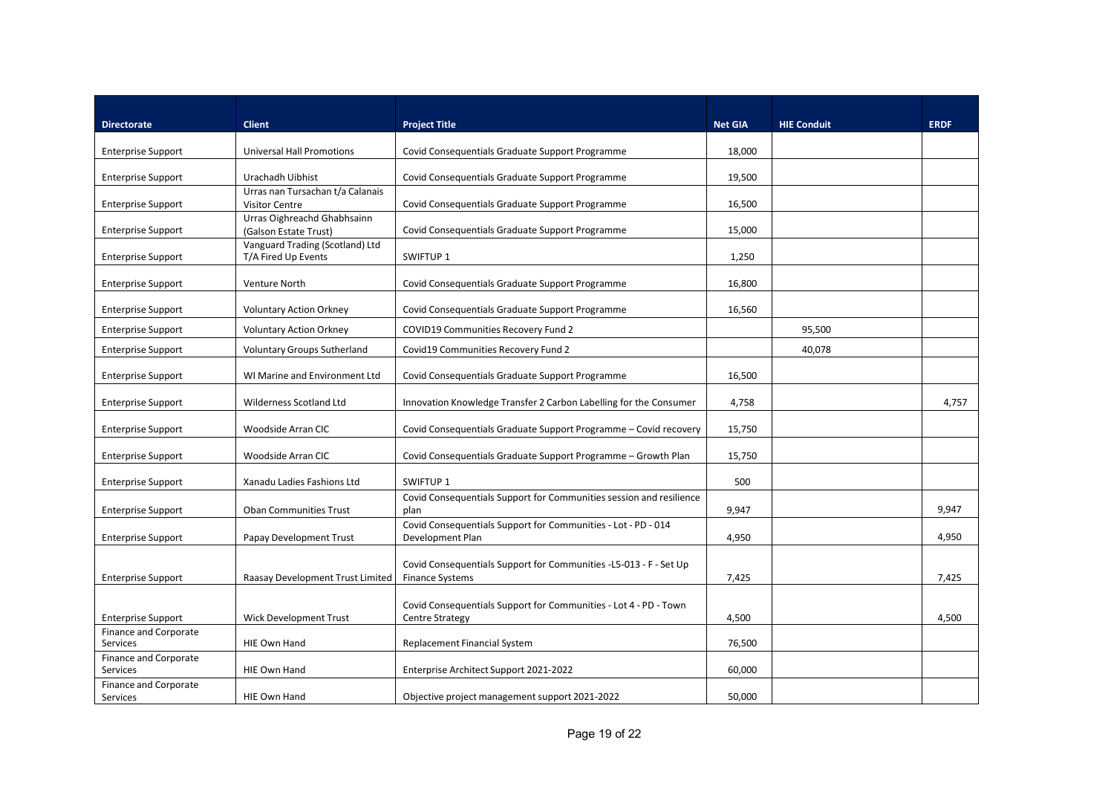| <b>Directorate</b>                | <b>Client</b>                                             | <b>Project Title</b>                                                                        | <b>Net GIA</b> | <b>HIE Conduit</b> | <b>ERDF</b> |
|-----------------------------------|-----------------------------------------------------------|---------------------------------------------------------------------------------------------|----------------|--------------------|-------------|
| <b>Enterprise Support</b>         | <b>Universal Hall Promotions</b>                          | Covid Consequentials Graduate Support Programme                                             | 18,000         |                    |             |
| <b>Enterprise Support</b>         | Urachadh Uibhist                                          | Covid Consequentials Graduate Support Programme                                             | 19,500         |                    |             |
| <b>Enterprise Support</b>         | Urras nan Tursachan t/a Calanais<br><b>Visitor Centre</b> | Covid Consequentials Graduate Support Programme                                             | 16,500         |                    |             |
| <b>Enterprise Support</b>         | Urras Oighreachd Ghabhsainn<br>(Galson Estate Trust)      | Covid Consequentials Graduate Support Programme                                             | 15,000         |                    |             |
| <b>Enterprise Support</b>         | Vanguard Trading (Scotland) Ltd<br>T/A Fired Up Events    | SWIFTUP <sub>1</sub>                                                                        | 1,250          |                    |             |
| <b>Enterprise Support</b>         | <b>Venture North</b>                                      | Covid Consequentials Graduate Support Programme                                             | 16,800         |                    |             |
| <b>Enterprise Support</b>         | <b>Voluntary Action Orkney</b>                            | Covid Consequentials Graduate Support Programme                                             | 16,560         |                    |             |
| <b>Enterprise Support</b>         | <b>Voluntary Action Orkney</b>                            | COVID19 Communities Recovery Fund 2                                                         |                | 95.500             |             |
| <b>Enterprise Support</b>         | <b>Voluntary Groups Sutherland</b>                        | Covid19 Communities Recovery Fund 2                                                         |                | 40,078             |             |
| <b>Enterprise Support</b>         | WI Marine and Environment Ltd                             | Covid Consequentials Graduate Support Programme                                             | 16,500         |                    |             |
| <b>Enterprise Support</b>         | Wilderness Scotland Ltd                                   | Innovation Knowledge Transfer 2 Carbon Labelling for the Consumer                           | 4,758          |                    | 4,757       |
| <b>Enterprise Support</b>         | Woodside Arran CIC                                        | Covid Consequentials Graduate Support Programme - Covid recovery                            | 15,750         |                    |             |
| <b>Enterprise Support</b>         | Woodside Arran CIC                                        | Covid Consequentials Graduate Support Programme - Growth Plan                               | 15,750         |                    |             |
| <b>Enterprise Support</b>         | Xanadu Ladies Fashions Ltd                                | <b>SWIFTUP 1</b>                                                                            | 500            |                    |             |
| <b>Enterprise Support</b>         | <b>Oban Communities Trust</b>                             | Covid Consequentials Support for Communities session and resilience<br>plan                 | 9,947          |                    | 9.947       |
| <b>Enterprise Support</b>         | Papay Development Trust                                   | Covid Consequentials Support for Communities - Lot - PD - 014<br>Development Plan           | 4,950          |                    | 4,950       |
| <b>Enterprise Support</b>         | Raasay Development Trust Limited                          | Covid Consequentials Support for Communities -L5-013 - F - Set Up<br><b>Finance Systems</b> | 7,425          |                    | 7,425       |
| <b>Enterprise Support</b>         | <b>Wick Development Trust</b>                             | Covid Consequentials Support for Communities - Lot 4 - PD - Town<br>Centre Strategy         | 4,500          |                    | 4,500       |
| Finance and Corporate<br>Services | HIE Own Hand                                              | Replacement Financial System                                                                | 76,500         |                    |             |
| Finance and Corporate<br>Services | HIE Own Hand                                              | Enterprise Architect Support 2021-2022                                                      | 60,000         |                    |             |
| Finance and Corporate<br>Services | <b>HIE Own Hand</b>                                       | Objective project management support 2021-2022                                              | 50,000         |                    |             |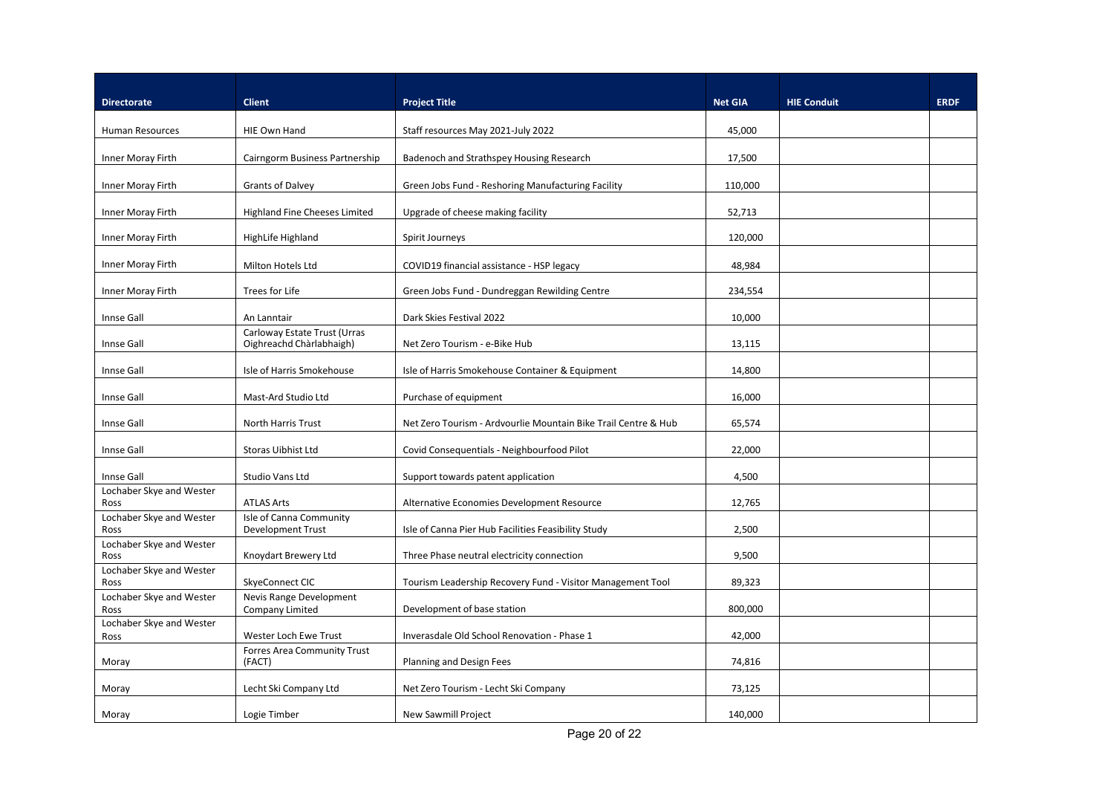| <b>Directorate</b>               | <b>Client</b>                                            | <b>Project Title</b>                                           | <b>Net GIA</b> | <b>HIE Conduit</b> | <b>ERDF</b> |
|----------------------------------|----------------------------------------------------------|----------------------------------------------------------------|----------------|--------------------|-------------|
|                                  |                                                          |                                                                |                |                    |             |
| Human Resources                  | HIE Own Hand                                             | Staff resources May 2021-July 2022                             | 45,000         |                    |             |
|                                  |                                                          |                                                                |                |                    |             |
| Inner Moray Firth                | Cairngorm Business Partnership                           | Badenoch and Strathspey Housing Research                       | 17,500         |                    |             |
| Inner Moray Firth                | <b>Grants of Dalvey</b>                                  | Green Jobs Fund - Reshoring Manufacturing Facility             | 110,000        |                    |             |
|                                  |                                                          |                                                                |                |                    |             |
| Inner Moray Firth                | Highland Fine Cheeses Limited                            | Upgrade of cheese making facility                              | 52,713         |                    |             |
|                                  |                                                          |                                                                |                |                    |             |
| Inner Moray Firth                | HighLife Highland                                        | Spirit Journeys                                                | 120,000        |                    |             |
| Inner Moray Firth                | Milton Hotels Ltd                                        | COVID19 financial assistance - HSP legacy                      | 48,984         |                    |             |
|                                  |                                                          |                                                                |                |                    |             |
| Inner Moray Firth                | Trees for Life                                           | Green Jobs Fund - Dundreggan Rewilding Centre                  | 234,554        |                    |             |
|                                  |                                                          |                                                                |                |                    |             |
| Innse Gall                       | An Lanntair                                              | Dark Skies Festival 2022                                       | 10,000         |                    |             |
| Innse Gall                       | Carloway Estate Trust (Urras<br>Oighreachd Chàrlabhaigh) | Net Zero Tourism - e-Bike Hub                                  | 13,115         |                    |             |
|                                  |                                                          |                                                                |                |                    |             |
| Innse Gall                       | Isle of Harris Smokehouse                                | Isle of Harris Smokehouse Container & Equipment                | 14,800         |                    |             |
|                                  |                                                          |                                                                |                |                    |             |
| Innse Gall                       | Mast-Ard Studio Ltd                                      | Purchase of equipment                                          | 16,000         |                    |             |
|                                  |                                                          |                                                                |                |                    |             |
| Innse Gall                       | North Harris Trust                                       | Net Zero Tourism - Ardvourlie Mountain Bike Trail Centre & Hub | 65,574         |                    |             |
| Innse Gall                       | Storas Uibhist Ltd                                       | Covid Consequentials - Neighbourfood Pilot                     | 22,000         |                    |             |
|                                  |                                                          |                                                                |                |                    |             |
| Innse Gall                       | Studio Vans Ltd                                          | Support towards patent application                             | 4,500          |                    |             |
| Lochaber Skye and Wester         |                                                          |                                                                |                |                    |             |
| Ross                             | <b>ATLAS Arts</b>                                        | Alternative Economies Development Resource                     | 12,765         |                    |             |
| Lochaber Skye and Wester<br>Ross | Isle of Canna Community<br><b>Development Trust</b>      | Isle of Canna Pier Hub Facilities Feasibility Study            | 2,500          |                    |             |
| Lochaber Skye and Wester         |                                                          |                                                                |                |                    |             |
| Ross                             | Knoydart Brewery Ltd                                     | Three Phase neutral electricity connection                     | 9,500          |                    |             |
| Lochaber Skye and Wester         |                                                          |                                                                |                |                    |             |
| Ross                             | SkyeConnect CIC                                          | Tourism Leadership Recovery Fund - Visitor Management Tool     | 89,323         |                    |             |
| Lochaber Skye and Wester<br>Ross | Nevis Range Development<br>Company Limited               | Development of base station                                    | 800,000        |                    |             |
| Lochaber Skye and Wester         |                                                          |                                                                |                |                    |             |
| Ross                             | Wester Loch Ewe Trust                                    | Inverasdale Old School Renovation - Phase 1                    | 42,000         |                    |             |
|                                  | Forres Area Community Trust                              |                                                                |                |                    |             |
| Moray                            | (FACT)                                                   | <b>Planning and Design Fees</b>                                | 74,816         |                    |             |
|                                  | Lecht Ski Company Ltd                                    | Net Zero Tourism - Lecht Ski Company                           | 73,125         |                    |             |
| Moray                            |                                                          |                                                                |                |                    |             |
| Moray                            | Logie Timber                                             | New Sawmill Project                                            | 140,000        |                    |             |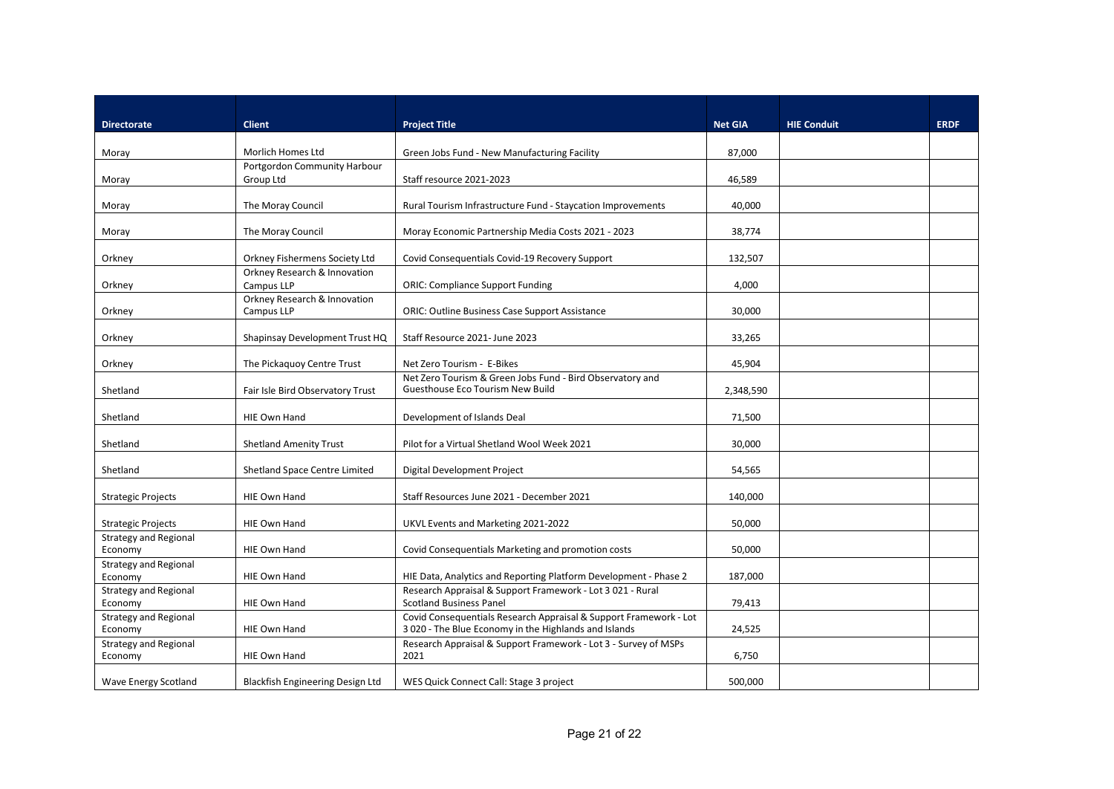| <b>Directorate</b>                      | <b>Client</b>                              | <b>Project Title</b>                                                                                                      | <b>Net GIA</b> | <b>HIE Conduit</b> | <b>ERDF</b> |
|-----------------------------------------|--------------------------------------------|---------------------------------------------------------------------------------------------------------------------------|----------------|--------------------|-------------|
| Moray                                   | Morlich Homes Ltd                          | Green Jobs Fund - New Manufacturing Facility                                                                              | 87.000         |                    |             |
|                                         | Portgordon Community Harbour               |                                                                                                                           |                |                    |             |
| Moray                                   | Group Ltd                                  | Staff resource 2021-2023                                                                                                  | 46,589         |                    |             |
| Moray                                   | The Moray Council                          | Rural Tourism Infrastructure Fund - Staycation Improvements                                                               | 40,000         |                    |             |
| Moray                                   | The Moray Council                          | Moray Economic Partnership Media Costs 2021 - 2023                                                                        | 38,774         |                    |             |
| Orkney                                  | Orkney Fishermens Society Ltd              | Covid Consequentials Covid-19 Recovery Support                                                                            | 132,507        |                    |             |
| Orkney                                  | Orkney Research & Innovation<br>Campus LLP | <b>ORIC: Compliance Support Funding</b>                                                                                   | 4,000          |                    |             |
| Orkney                                  | Orkney Research & Innovation<br>Campus LLP | <b>ORIC: Outline Business Case Support Assistance</b>                                                                     | 30,000         |                    |             |
| Orkney                                  | Shapinsay Development Trust HQ             | Staff Resource 2021- June 2023                                                                                            | 33,265         |                    |             |
| Orkney                                  | The Pickaquoy Centre Trust                 | Net Zero Tourism - E-Bikes                                                                                                | 45,904         |                    |             |
| Shetland                                | Fair Isle Bird Observatory Trust           | Net Zero Tourism & Green Jobs Fund - Bird Observatory and<br>Guesthouse Eco Tourism New Build                             | 2,348,590      |                    |             |
| Shetland                                | HIE Own Hand                               | Development of Islands Deal                                                                                               | 71,500         |                    |             |
| Shetland                                | <b>Shetland Amenity Trust</b>              | Pilot for a Virtual Shetland Wool Week 2021                                                                               | 30,000         |                    |             |
| Shetland                                | Shetland Space Centre Limited              | Digital Development Project                                                                                               | 54,565         |                    |             |
| <b>Strategic Projects</b>               | <b>HIE Own Hand</b>                        | Staff Resources June 2021 - December 2021                                                                                 | 140,000        |                    |             |
| <b>Strategic Projects</b>               | HIE Own Hand                               | UKVL Events and Marketing 2021-2022                                                                                       | 50,000         |                    |             |
| <b>Strategy and Regional</b><br>Economy | HIE Own Hand                               | Covid Consequentials Marketing and promotion costs                                                                        | 50,000         |                    |             |
| <b>Strategy and Regional</b><br>Economy | <b>HIE Own Hand</b>                        | HIE Data, Analytics and Reporting Platform Development - Phase 2                                                          | 187,000        |                    |             |
| <b>Strategy and Regional</b><br>Economy | HIE Own Hand                               | Research Appraisal & Support Framework - Lot 3 021 - Rural<br><b>Scotland Business Panel</b>                              | 79,413         |                    |             |
| Strategy and Regional<br>Economy        | HIE Own Hand                               | Covid Consequentials Research Appraisal & Support Framework - Lot<br>3020 - The Blue Economy in the Highlands and Islands | 24,525         |                    |             |
| <b>Strategy and Regional</b><br>Economy | <b>HIE Own Hand</b>                        | Research Appraisal & Support Framework - Lot 3 - Survey of MSPs<br>2021                                                   | 6,750          |                    |             |
| Wave Energy Scotland                    | Blackfish Engineering Design Ltd           | WES Quick Connect Call: Stage 3 project                                                                                   | 500,000        |                    |             |